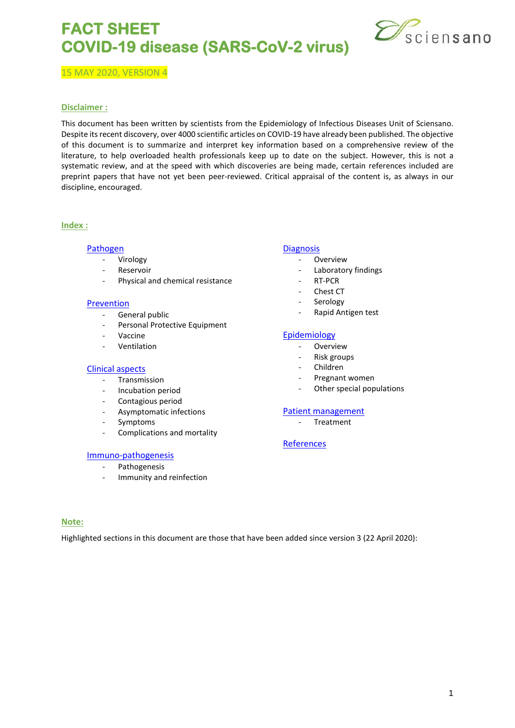

15 MAY 2020, VERSION 4

#### **Disclaimer :**

This document has been written by scientists from the Epidemiology of Infectious Diseases Unit of Sciensano. Despite its recent discovery, over 4000 scientific articles on COVID-19 have already been published. The objective of this document is to summarize and interpret key information based on a comprehensive review of the literature, to help overloaded health professionals keep up to date on the subject. However, this is not a systematic review, and at the speed with which discoveries are being made, certain references included are preprint papers that have not yet been peer-reviewed. Critical appraisal of the content is, as always in our discipline, encouraged.

#### **Index :**

#### **[Pathogen](#page-1-0)**

- **Virology**
- Reservoir
- Physical and chemical resistance

#### [Prevention](#page-2-0)

- General public
	- Personal Protective Equipment
- **Vaccine**
- **Ventilation**

#### [Clinical aspects](#page-4-0)

- Transmission
- Incubation period
- Contagious period
- Asymptomatic infections
- **Symptoms**
- Complications and mortality

#### [Immuno-pathogenesis](#page-7-0)

- Pathogenesis
- Immunity and reinfection

#### **[Diagnosis](#page-9-0)**

- Overview
- Laboratory findings
- RT-PCR
- Chest CT
- Serology
- Rapid Antigen test

#### [Epidemiology](#page-12-0)

- Overview
- Risk groups
- Children
- Pregnant women
- Other special populations

#### [Patient management](#page-15-0)

**Treatment** 

#### [References](#page-16-0)

#### **Note:**

Highlighted sections in this document are those that have been added since version 3 (22 April 2020):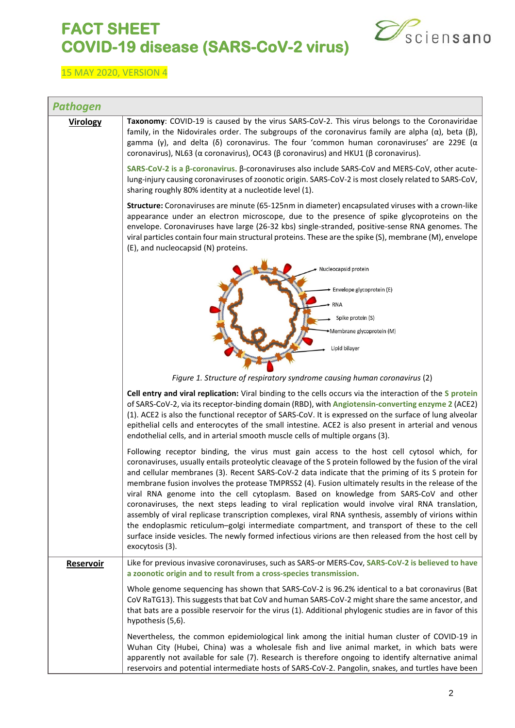

<span id="page-1-0"></span>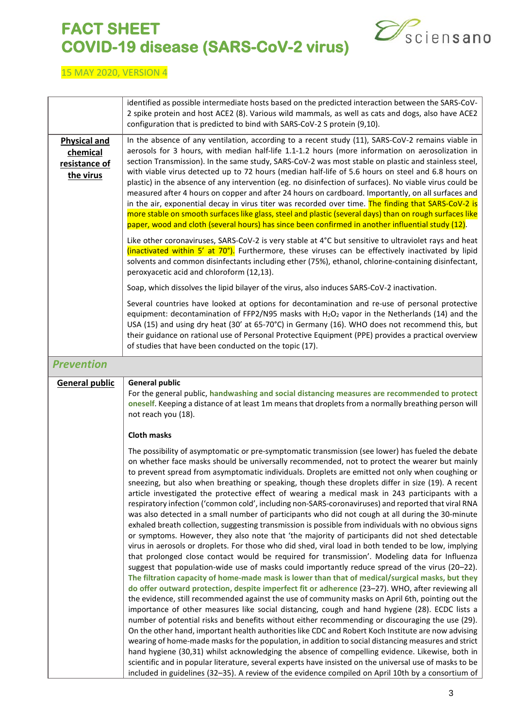

<span id="page-2-0"></span>

|                                                               | identified as possible intermediate hosts based on the predicted interaction between the SARS-CoV-<br>2 spike protein and host ACE2 (8). Various wild mammals, as well as cats and dogs, also have ACE2<br>configuration that is predicted to bind with SARS-CoV-2 S protein (9,10).                                                                                                                                                                                                                                                                                                                                                                                                                                                                                                                                                                                                                                                                                                                                                                                                                                                                                                                                                                                                                                                                                                                                                                                                                                                                                                                                                                                                                                                                                                                                                                                                                                                                                                                                                                                                                                                                                                                                                                                                                     |  |
|---------------------------------------------------------------|----------------------------------------------------------------------------------------------------------------------------------------------------------------------------------------------------------------------------------------------------------------------------------------------------------------------------------------------------------------------------------------------------------------------------------------------------------------------------------------------------------------------------------------------------------------------------------------------------------------------------------------------------------------------------------------------------------------------------------------------------------------------------------------------------------------------------------------------------------------------------------------------------------------------------------------------------------------------------------------------------------------------------------------------------------------------------------------------------------------------------------------------------------------------------------------------------------------------------------------------------------------------------------------------------------------------------------------------------------------------------------------------------------------------------------------------------------------------------------------------------------------------------------------------------------------------------------------------------------------------------------------------------------------------------------------------------------------------------------------------------------------------------------------------------------------------------------------------------------------------------------------------------------------------------------------------------------------------------------------------------------------------------------------------------------------------------------------------------------------------------------------------------------------------------------------------------------------------------------------------------------------------------------------------------------|--|
| <b>Physical and</b><br>chemical<br>resistance of<br>the virus | In the absence of any ventilation, according to a recent study (11), SARS-CoV-2 remains viable in<br>aerosols for 3 hours, with median half-life 1.1-1.2 hours (more information on aerosolization in<br>section Transmission). In the same study, SARS-CoV-2 was most stable on plastic and stainless steel,<br>with viable virus detected up to 72 hours (median half-life of 5.6 hours on steel and 6.8 hours on<br>plastic) in the absence of any intervention (eg. no disinfection of surfaces). No viable virus could be<br>measured after 4 hours on copper and after 24 hours on cardboard. Importantly, on all surfaces and<br>in the air, exponential decay in virus titer was recorded over time. The finding that SARS-CoV-2 is<br>more stable on smooth surfaces like glass, steel and plastic (several days) than on rough surfaces like<br>paper, wood and cloth (several hours) has since been confirmed in another influential study (12).                                                                                                                                                                                                                                                                                                                                                                                                                                                                                                                                                                                                                                                                                                                                                                                                                                                                                                                                                                                                                                                                                                                                                                                                                                                                                                                                              |  |
|                                                               | Like other coronaviruses, SARS-CoV-2 is very stable at 4°C but sensitive to ultraviolet rays and heat<br>(inactivated within 5' at 70°). Furthermore, these viruses can be effectively inactivated by lipid<br>solvents and common disinfectants including ether (75%), ethanol, chlorine-containing disinfectant,<br>peroxyacetic acid and chloroform (12,13).                                                                                                                                                                                                                                                                                                                                                                                                                                                                                                                                                                                                                                                                                                                                                                                                                                                                                                                                                                                                                                                                                                                                                                                                                                                                                                                                                                                                                                                                                                                                                                                                                                                                                                                                                                                                                                                                                                                                          |  |
|                                                               | Soap, which dissolves the lipid bilayer of the virus, also induces SARS-CoV-2 inactivation.                                                                                                                                                                                                                                                                                                                                                                                                                                                                                                                                                                                                                                                                                                                                                                                                                                                                                                                                                                                                                                                                                                                                                                                                                                                                                                                                                                                                                                                                                                                                                                                                                                                                                                                                                                                                                                                                                                                                                                                                                                                                                                                                                                                                              |  |
|                                                               | Several countries have looked at options for decontamination and re-use of personal protective<br>equipment: decontamination of FFP2/N95 masks with $H_2O_2$ vapor in the Netherlands (14) and the<br>USA (15) and using dry heat (30' at 65-70°C) in Germany (16). WHO does not recommend this, but<br>their guidance on rational use of Personal Protective Equipment (PPE) provides a practical overview<br>of studies that have been conducted on the topic (17).                                                                                                                                                                                                                                                                                                                                                                                                                                                                                                                                                                                                                                                                                                                                                                                                                                                                                                                                                                                                                                                                                                                                                                                                                                                                                                                                                                                                                                                                                                                                                                                                                                                                                                                                                                                                                                    |  |
| <b>Prevention</b>                                             |                                                                                                                                                                                                                                                                                                                                                                                                                                                                                                                                                                                                                                                                                                                                                                                                                                                                                                                                                                                                                                                                                                                                                                                                                                                                                                                                                                                                                                                                                                                                                                                                                                                                                                                                                                                                                                                                                                                                                                                                                                                                                                                                                                                                                                                                                                          |  |
| <b>General public</b>                                         | <b>General public</b><br>For the general public, handwashing and social distancing measures are recommended to protect<br>oneself. Keeping a distance of at least 1m means that droplets from a normally breathing person will<br>not reach you (18).                                                                                                                                                                                                                                                                                                                                                                                                                                                                                                                                                                                                                                                                                                                                                                                                                                                                                                                                                                                                                                                                                                                                                                                                                                                                                                                                                                                                                                                                                                                                                                                                                                                                                                                                                                                                                                                                                                                                                                                                                                                    |  |
|                                                               | <b>Cloth masks</b>                                                                                                                                                                                                                                                                                                                                                                                                                                                                                                                                                                                                                                                                                                                                                                                                                                                                                                                                                                                                                                                                                                                                                                                                                                                                                                                                                                                                                                                                                                                                                                                                                                                                                                                                                                                                                                                                                                                                                                                                                                                                                                                                                                                                                                                                                       |  |
|                                                               | The possibility of asymptomatic or pre-symptomatic transmission (see lower) has fueled the debate<br>on whether face masks should be universally recommended, not to protect the wearer but mainly<br>to prevent spread from asymptomatic individuals. Droplets are emitted not only when coughing or<br>sneezing, but also when breathing or speaking, though these droplets differ in size (19). A recent<br>article investigated the protective effect of wearing a medical mask in 243 participants with a<br>respiratory infection ('common cold', including non-SARS-coronaviruses) and reported that viral RNA<br>was also detected in a small number of participants who did not cough at all during the 30-minute<br>exhaled breath collection, suggesting transmission is possible from individuals with no obvious signs<br>or symptoms. However, they also note that 'the majority of participants did not shed detectable<br>virus in aerosols or droplets. For those who did shed, viral load in both tended to be low, implying<br>that prolonged close contact would be required for transmission'. Modeling data for Influenza<br>suggest that population-wide use of masks could importantly reduce spread of the virus (20-22).<br>The filtration capacity of home-made mask is lower than that of medical/surgical masks, but they<br>do offer outward protection, despite imperfect fit or adherence (23-27). WHO, after reviewing all<br>the evidence, still recommended against the use of community masks on April 6th, pointing out the<br>importance of other measures like social distancing, cough and hand hygiene (28). ECDC lists a<br>number of potential risks and benefits without either recommending or discouraging the use (29).<br>On the other hand, important health authorities like CDC and Robert Koch Institute are now advising<br>wearing of home-made masks for the population, in addition to social distancing measures and strict<br>hand hygiene (30,31) whilst acknowledging the absence of compelling evidence. Likewise, both in<br>scientific and in popular literature, several experts have insisted on the universal use of masks to be<br>included in guidelines (32-35). A review of the evidence compiled on April 10th by a consortium of |  |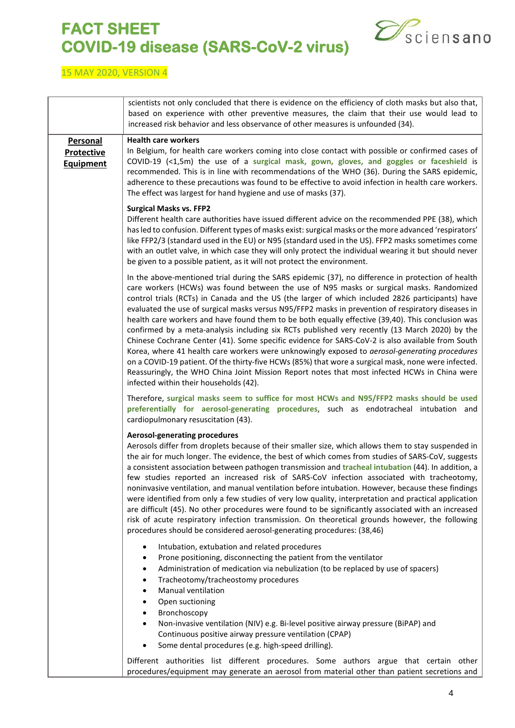

|                                       | scientists not only concluded that there is evidence on the efficiency of cloth masks but also that,<br>based on experience with other preventive measures, the claim that their use would lead to<br>increased risk behavior and less observance of other measures is unfounded (34).                                                                                                                                                                                                                                                                                                                                                                                                                                                                                                                                                                                                                                                                                                                                                                               |
|---------------------------------------|----------------------------------------------------------------------------------------------------------------------------------------------------------------------------------------------------------------------------------------------------------------------------------------------------------------------------------------------------------------------------------------------------------------------------------------------------------------------------------------------------------------------------------------------------------------------------------------------------------------------------------------------------------------------------------------------------------------------------------------------------------------------------------------------------------------------------------------------------------------------------------------------------------------------------------------------------------------------------------------------------------------------------------------------------------------------|
| Personal                              | <b>Health care workers</b>                                                                                                                                                                                                                                                                                                                                                                                                                                                                                                                                                                                                                                                                                                                                                                                                                                                                                                                                                                                                                                           |
| <b>Protective</b><br><b>Equipment</b> | In Belgium, for health care workers coming into close contact with possible or confirmed cases of<br>COVID-19 $(1,5m)$ the use of a surgical mask, gown, gloves, and goggles or faceshield is<br>recommended. This is in line with recommendations of the WHO (36). During the SARS epidemic,<br>adherence to these precautions was found to be effective to avoid infection in health care workers.<br>The effect was largest for hand hygiene and use of masks (37).                                                                                                                                                                                                                                                                                                                                                                                                                                                                                                                                                                                               |
|                                       | <b>Surgical Masks vs. FFP2</b><br>Different health care authorities have issued different advice on the recommended PPE (38), which<br>has led to confusion. Different types of masks exist: surgical masks or the more advanced 'respirators'<br>like FFP2/3 (standard used in the EU) or N95 (standard used in the US). FFP2 masks sometimes come<br>with an outlet valve, in which case they will only protect the individual wearing it but should never<br>be given to a possible patient, as it will not protect the environment.                                                                                                                                                                                                                                                                                                                                                                                                                                                                                                                              |
|                                       | In the above-mentioned trial during the SARS epidemic (37), no difference in protection of health<br>care workers (HCWs) was found between the use of N95 masks or surgical masks. Randomized<br>control trials (RCTs) in Canada and the US (the larger of which included 2826 participants) have<br>evaluated the use of surgical masks versus N95/FFP2 masks in prevention of respiratory diseases in<br>health care workers and have found them to be both equally effective (39,40). This conclusion was<br>confirmed by a meta-analysis including six RCTs published very recently (13 March 2020) by the<br>Chinese Cochrane Center (41). Some specific evidence for SARS-CoV-2 is also available from South<br>Korea, where 41 health care workers were unknowingly exposed to aerosol-generating procedures<br>on a COVID-19 patient. Of the thirty-five HCWs (85%) that wore a surgical mask, none were infected.<br>Reassuringly, the WHO China Joint Mission Report notes that most infected HCWs in China were<br>infected within their households (42). |
|                                       | Therefore, surgical masks seem to suffice for most HCWs and N95/FFP2 masks should be used<br>preferentially for aerosol-generating procedures, such as endotracheal intubation and<br>cardiopulmonary resuscitation (43).                                                                                                                                                                                                                                                                                                                                                                                                                                                                                                                                                                                                                                                                                                                                                                                                                                            |
|                                       | <b>Aerosol-generating procedures</b><br>Aerosols differ from droplets because of their smaller size, which allows them to stay suspended in<br>the air for much longer. The evidence, the best of which comes from studies of SARS-CoV, suggests<br>a consistent association between pathogen transmission and tracheal intubation (44). In addition, a<br>few studies reported an increased risk of SARS-CoV infection associated with tracheotomy,<br>noninvasive ventilation, and manual ventilation before intubation. However, because these findings<br>were identified from only a few studies of very low quality, interpretation and practical application<br>are difficult (45). No other procedures were found to be significantly associated with an increased<br>risk of acute respiratory infection transmission. On theoretical grounds however, the following<br>procedures should be considered aerosol-generating procedures: (38,46)                                                                                                              |
|                                       | Intubation, extubation and related procedures<br>Prone positioning, disconnecting the patient from the ventilator<br>$\bullet$<br>Administration of medication via nebulization (to be replaced by use of spacers)<br>$\bullet$<br>Tracheotomy/tracheostomy procedures<br><b>Manual ventilation</b><br>Open suctioning<br>Bronchoscopy<br>٠<br>Non-invasive ventilation (NIV) e.g. Bi-level positive airway pressure (BiPAP) and<br>$\bullet$<br>Continuous positive airway pressure ventilation (CPAP)<br>Some dental procedures (e.g. high-speed drilling).                                                                                                                                                                                                                                                                                                                                                                                                                                                                                                        |
|                                       | Different authorities list different procedures. Some authors argue that certain other<br>procedures/equipment may generate an aerosol from material other than patient secretions and                                                                                                                                                                                                                                                                                                                                                                                                                                                                                                                                                                                                                                                                                                                                                                                                                                                                               |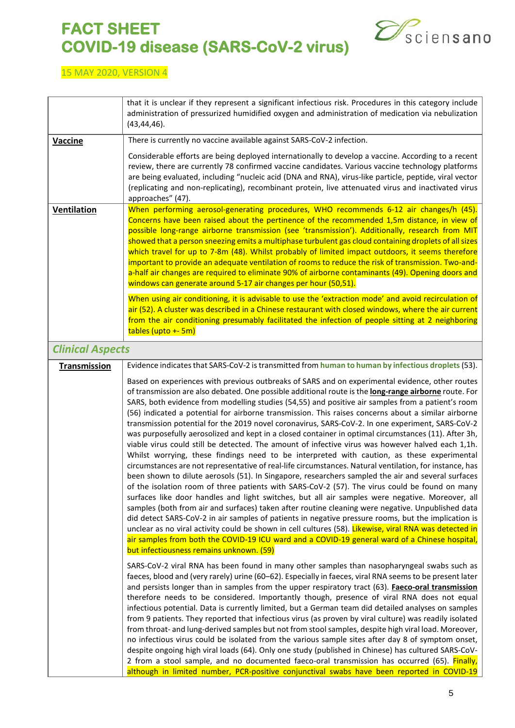

<span id="page-4-0"></span>

|                         | that it is unclear if they represent a significant infectious risk. Procedures in this category include<br>administration of pressurized humidified oxygen and administration of medication via nebulization<br>(43, 44, 46).                                                                                                                                                                                                                                                                                                                                                                                                                                                                                                                                                                                                                                                                                                                                                                                                                                                                                                                                                                                                                                                                                                                                                                                                                                                                                                                                                                                                                                                                                                 |
|-------------------------|-------------------------------------------------------------------------------------------------------------------------------------------------------------------------------------------------------------------------------------------------------------------------------------------------------------------------------------------------------------------------------------------------------------------------------------------------------------------------------------------------------------------------------------------------------------------------------------------------------------------------------------------------------------------------------------------------------------------------------------------------------------------------------------------------------------------------------------------------------------------------------------------------------------------------------------------------------------------------------------------------------------------------------------------------------------------------------------------------------------------------------------------------------------------------------------------------------------------------------------------------------------------------------------------------------------------------------------------------------------------------------------------------------------------------------------------------------------------------------------------------------------------------------------------------------------------------------------------------------------------------------------------------------------------------------------------------------------------------------|
| Vaccine                 | There is currently no vaccine available against SARS-CoV-2 infection.                                                                                                                                                                                                                                                                                                                                                                                                                                                                                                                                                                                                                                                                                                                                                                                                                                                                                                                                                                                                                                                                                                                                                                                                                                                                                                                                                                                                                                                                                                                                                                                                                                                         |
|                         | Considerable efforts are being deployed internationally to develop a vaccine. According to a recent<br>review, there are currently 78 confirmed vaccine candidates. Various vaccine technology platforms<br>are being evaluated, including "nucleic acid (DNA and RNA), virus-like particle, peptide, viral vector<br>(replicating and non-replicating), recombinant protein, live attenuated virus and inactivated virus<br>approaches" (47).                                                                                                                                                                                                                                                                                                                                                                                                                                                                                                                                                                                                                                                                                                                                                                                                                                                                                                                                                                                                                                                                                                                                                                                                                                                                                |
| <b>Ventilation</b>      | When performing aerosol-generating procedures, WHO recommends 6-12 air changes/h (45).<br>Concerns have been raised about the pertinence of the recommended 1,5m distance, in view of<br>possible long-range airborne transmission (see 'transmission'). Additionally, research from MIT<br>showed that a person sneezing emits a multiphase turbulent gas cloud containing droplets of all sizes<br>which travel for up to 7-8m (48). Whilst probably of limited impact outdoors, it seems therefore<br>important to provide an adequate ventilation of rooms to reduce the risk of transmission. Two-and-<br>a-half air changes are required to eliminate 90% of airborne contaminants (49). Opening doors and<br>windows can generate around 5-17 air changes per hour (50,51).                                                                                                                                                                                                                                                                                                                                                                                                                                                                                                                                                                                                                                                                                                                                                                                                                                                                                                                                            |
|                         | When using air conditioning, it is advisable to use the 'extraction mode' and avoid recirculation of<br>air (52). A cluster was described in a Chinese restaurant with closed windows, where the air current<br>from the air conditioning presumably facilitated the infection of people sitting at 2 neighboring<br>tables (upto +- 5m)                                                                                                                                                                                                                                                                                                                                                                                                                                                                                                                                                                                                                                                                                                                                                                                                                                                                                                                                                                                                                                                                                                                                                                                                                                                                                                                                                                                      |
| <b>Clinical Aspects</b> |                                                                                                                                                                                                                                                                                                                                                                                                                                                                                                                                                                                                                                                                                                                                                                                                                                                                                                                                                                                                                                                                                                                                                                                                                                                                                                                                                                                                                                                                                                                                                                                                                                                                                                                               |
| Transmission            | Evidence indicates that SARS-CoV-2 is transmitted from human to human by infectious droplets (53).                                                                                                                                                                                                                                                                                                                                                                                                                                                                                                                                                                                                                                                                                                                                                                                                                                                                                                                                                                                                                                                                                                                                                                                                                                                                                                                                                                                                                                                                                                                                                                                                                            |
|                         | Based on experiences with previous outbreaks of SARS and on experimental evidence, other routes<br>of transmission are also debated. One possible additional route is the long-range airborne route. For<br>SARS, both evidence from modelling studies (54,55) and positive air samples from a patient's room<br>(56) indicated a potential for airborne transmission. This raises concerns about a similar airborne<br>transmission potential for the 2019 novel coronavirus, SARS-CoV-2. In one experiment, SARS-CoV-2<br>was purposefully aerosolized and kept in a closed container in optimal circumstances (11). After 3h,<br>viable virus could still be detected. The amount of infective virus was however halved each 1,1h.<br>Whilst worrying, these findings need to be interpreted with caution, as these experimental<br>circumstances are not representative of real-life circumstances. Natural ventilation, for instance, has<br>been shown to dilute aerosols (51). In Singapore, researchers sampled the air and several surfaces<br>of the isolation room of three patients with SARS-CoV-2 (57). The virus could be found on many<br>surfaces like door handles and light switches, but all air samples were negative. Moreover, all<br>samples (both from air and surfaces) taken after routine cleaning were negative. Unpublished data<br>did detect SARS-CoV-2 in air samples of patients in negative pressure rooms, but the implication is<br>unclear as no viral activity could be shown in cell cultures (58). Likewise, viral RNA was detected in<br>air samples from both the COVID-19 ICU ward and a COVID-19 general ward of a Chinese hospital,<br>but infectiousness remains unknown. (59) |
|                         | SARS-CoV-2 viral RNA has been found in many other samples than nasopharyngeal swabs such as<br>faeces, blood and (very rarely) urine (60-62). Especially in faeces, viral RNA seems to be present later<br>and persists longer than in samples from the upper respiratory tract (63). Faeco-oral transmission<br>therefore needs to be considered. Importantly though, presence of viral RNA does not equal<br>infectious potential. Data is currently limited, but a German team did detailed analyses on samples<br>from 9 patients. They reported that infectious virus (as proven by viral culture) was readily isolated<br>from throat- and lung-derived samples but not from stool samples, despite high viral load. Moreover,<br>no infectious virus could be isolated from the various sample sites after day 8 of symptom onset,<br>despite ongoing high viral loads (64). Only one study (published in Chinese) has cultured SARS-CoV-<br>2 from a stool sample, and no documented faeco-oral transmission has occurred (65). Finally,<br>although in limited number, PCR-positive conjunctival swabs have been reported in COVID-19                                                                                                                                                                                                                                                                                                                                                                                                                                                                                                                                                                                |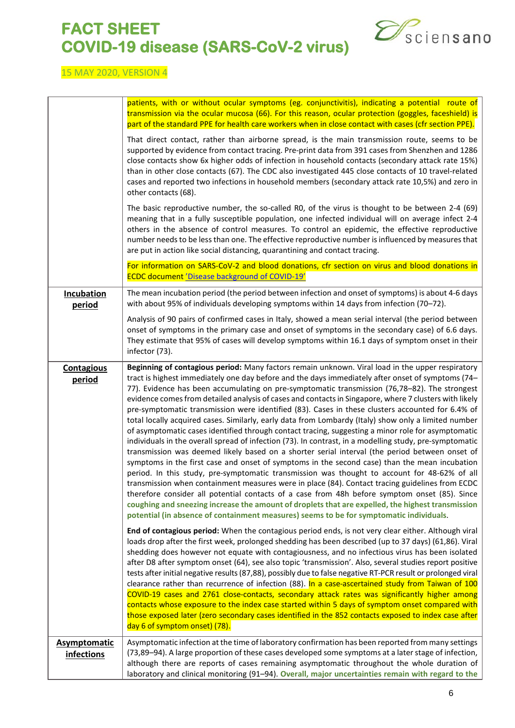

|                                          | patients, with or without ocular symptoms (eg. conjunctivitis), indicating a potential route of<br>transmission via the ocular mucosa (66). For this reason, ocular protection (goggles, faceshield) is<br>part of the standard PPE for health care workers when in close contact with cases (cfr section PPE).                                                                                                                                                                                                                                                                                                                                                                                                                                                                                                                                                                                                                                                                                                                                                                                                                                                                                                                                                                                                                                                                                                                                                                                                                                      |
|------------------------------------------|------------------------------------------------------------------------------------------------------------------------------------------------------------------------------------------------------------------------------------------------------------------------------------------------------------------------------------------------------------------------------------------------------------------------------------------------------------------------------------------------------------------------------------------------------------------------------------------------------------------------------------------------------------------------------------------------------------------------------------------------------------------------------------------------------------------------------------------------------------------------------------------------------------------------------------------------------------------------------------------------------------------------------------------------------------------------------------------------------------------------------------------------------------------------------------------------------------------------------------------------------------------------------------------------------------------------------------------------------------------------------------------------------------------------------------------------------------------------------------------------------------------------------------------------------|
|                                          | That direct contact, rather than airborne spread, is the main transmission route, seems to be<br>supported by evidence from contact tracing. Pre-print data from 391 cases from Shenzhen and 1286<br>close contacts show 6x higher odds of infection in household contacts (secondary attack rate 15%)<br>than in other close contacts (67). The CDC also investigated 445 close contacts of 10 travel-related<br>cases and reported two infections in household members (secondary attack rate 10,5%) and zero in<br>other contacts (68).                                                                                                                                                                                                                                                                                                                                                                                                                                                                                                                                                                                                                                                                                                                                                                                                                                                                                                                                                                                                           |
|                                          | The basic reproductive number, the so-called RO, of the virus is thought to be between 2-4 (69)<br>meaning that in a fully susceptible population, one infected individual will on average infect 2-4<br>others in the absence of control measures. To control an epidemic, the effective reproductive<br>number needs to be less than one. The effective reproductive number is influenced by measures that<br>are put in action like social distancing, quarantining and contact tracing.                                                                                                                                                                                                                                                                                                                                                                                                                                                                                                                                                                                                                                                                                                                                                                                                                                                                                                                                                                                                                                                          |
|                                          | For information on SARS-CoV-2 and blood donations, cfr section on virus and blood donations in<br><b>ECDC document 'Disease background of COVID-19'</b>                                                                                                                                                                                                                                                                                                                                                                                                                                                                                                                                                                                                                                                                                                                                                                                                                                                                                                                                                                                                                                                                                                                                                                                                                                                                                                                                                                                              |
| <b>Incubation</b><br>period              | The mean incubation period (the period between infection and onset of symptoms) is about 4-6 days<br>with about 95% of individuals developing symptoms within 14 days from infection (70-72).                                                                                                                                                                                                                                                                                                                                                                                                                                                                                                                                                                                                                                                                                                                                                                                                                                                                                                                                                                                                                                                                                                                                                                                                                                                                                                                                                        |
|                                          | Analysis of 90 pairs of confirmed cases in Italy, showed a mean serial interval (the period between<br>onset of symptoms in the primary case and onset of symptoms in the secondary case) of 6.6 days.<br>They estimate that 95% of cases will develop symptoms within 16.1 days of symptom onset in their<br>infector (73).                                                                                                                                                                                                                                                                                                                                                                                                                                                                                                                                                                                                                                                                                                                                                                                                                                                                                                                                                                                                                                                                                                                                                                                                                         |
| <b>Contagious</b><br>period              | Beginning of contagious period: Many factors remain unknown. Viral load in the upper respiratory<br>tract is highest immediately one day before and the days immediately after onset of symptoms (74-<br>77). Evidence has been accumulating on pre-symptomatic transmission (76,78-82). The strongest<br>evidence comes from detailed analysis of cases and contacts in Singapore, where 7 clusters with likely<br>pre-symptomatic transmission were identified (83). Cases in these clusters accounted for 6.4% of<br>total locally acquired cases. Similarly, early data from Lombardy (Italy) show only a limited number<br>of asymptomatic cases identified through contact tracing, suggesting a minor role for asymptomatic<br>individuals in the overall spread of infection (73). In contrast, in a modelling study, pre-symptomatic<br>transmission was deemed likely based on a shorter serial interval (the period between onset of<br>symptoms in the first case and onset of symptoms in the second case) than the mean incubation<br>period. In this study, pre-symptomatic transmission was thought to account for 48-62% of all<br>transmission when containment measures were in place (84). Contact tracing guidelines from ECDC<br>therefore consider all potential contacts of a case from 48h before symptom onset (85). Since<br>coughing and sneezing increase the amount of droplets that are expelled, the highest transmission<br>potential (in absence of containment measures) seems to be for symptomatic individuals. |
|                                          | End of contagious period: When the contagious period ends, is not very clear either. Although viral<br>loads drop after the first week, prolonged shedding has been described (up to 37 days) (61,86). Viral<br>shedding does however not equate with contagiousness, and no infectious virus has been isolated<br>after D8 after symptom onset (64), see also topic 'transmission'. Also, several studies report positive<br>tests after initial negative results (87,88), possibly due to false negative RT-PCR result or prolonged viral<br>clearance rather than recurrence of infection (88). In a case-ascertained study from Taiwan of 100<br>COVID-19 cases and 2761 close-contacts, secondary attack rates was significantly higher among<br>contacts whose exposure to the index case started within 5 days of symptom onset compared with<br>those exposed later (zero secondary cases identified in the 852 contacts exposed to index case after<br>day 6 of symptom onset) (78).                                                                                                                                                                                                                                                                                                                                                                                                                                                                                                                                                        |
| <b>Asymptomatic</b><br><i>infections</i> | Asymptomatic infection at the time of laboratory confirmation has been reported from many settings<br>(73,89-94). A large proportion of these cases developed some symptoms at a later stage of infection,<br>although there are reports of cases remaining asymptomatic throughout the whole duration of<br>laboratory and clinical monitoring (91-94). Overall, major uncertainties remain with regard to the                                                                                                                                                                                                                                                                                                                                                                                                                                                                                                                                                                                                                                                                                                                                                                                                                                                                                                                                                                                                                                                                                                                                      |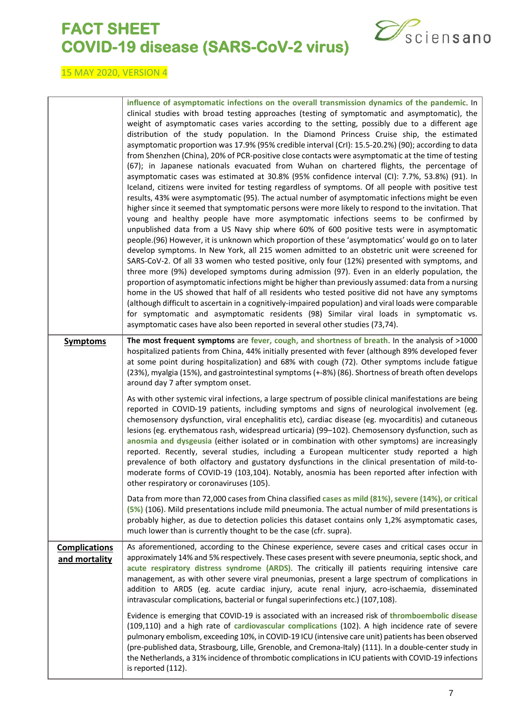

|                                       | influence of asymptomatic infections on the overall transmission dynamics of the pandemic. In<br>clinical studies with broad testing approaches (testing of symptomatic and asymptomatic), the<br>weight of asymptomatic cases varies according to the setting, possibly due to a different age<br>distribution of the study population. In the Diamond Princess Cruise ship, the estimated<br>asymptomatic proportion was 17.9% (95% credible interval (CrI): 15.5-20.2%) (90); according to data<br>from Shenzhen (China), 20% of PCR-positive close contacts were asymptomatic at the time of testing<br>(67); in Japanese nationals evacuated from Wuhan on chartered flights, the percentage of<br>asymptomatic cases was estimated at 30.8% (95% confidence interval (CI): 7.7%, 53.8%) (91). In<br>Iceland, citizens were invited for testing regardless of symptoms. Of all people with positive test<br>results, 43% were asymptomatic (95). The actual number of asymptomatic infections might be even<br>higher since it seemed that symptomatic persons were more likely to respond to the invitation. That<br>young and healthy people have more asymptomatic infections seems to be confirmed by<br>unpublished data from a US Navy ship where 60% of 600 positive tests were in asymptomatic<br>people.(96) However, it is unknown which proportion of these 'asymptomatics' would go on to later<br>develop symptoms. In New York, all 215 women admitted to an obstetric unit were screened for<br>SARS-CoV-2. Of all 33 women who tested positive, only four (12%) presented with symptoms, and<br>three more (9%) developed symptoms during admission (97). Even in an elderly population, the<br>proportion of asymptomatic infections might be higher than previously assumed: data from a nursing<br>home in the US showed that half of all residents who tested positive did not have any symptoms<br>(although difficult to ascertain in a cognitively-impaired population) and viral loads were comparable<br>for symptomatic and asymptomatic residents (98) Similar viral loads in symptomatic vs.<br>asymptomatic cases have also been reported in several other studies (73,74). |
|---------------------------------------|---------------------------------------------------------------------------------------------------------------------------------------------------------------------------------------------------------------------------------------------------------------------------------------------------------------------------------------------------------------------------------------------------------------------------------------------------------------------------------------------------------------------------------------------------------------------------------------------------------------------------------------------------------------------------------------------------------------------------------------------------------------------------------------------------------------------------------------------------------------------------------------------------------------------------------------------------------------------------------------------------------------------------------------------------------------------------------------------------------------------------------------------------------------------------------------------------------------------------------------------------------------------------------------------------------------------------------------------------------------------------------------------------------------------------------------------------------------------------------------------------------------------------------------------------------------------------------------------------------------------------------------------------------------------------------------------------------------------------------------------------------------------------------------------------------------------------------------------------------------------------------------------------------------------------------------------------------------------------------------------------------------------------------------------------------------------------------------------------------------------------------------------------------------------------------------------------------------|
| <b>Symptoms</b>                       | The most frequent symptoms are fever, cough, and shortness of breath. In the analysis of >1000<br>hospitalized patients from China, 44% initially presented with fever (although 89% developed fever<br>at some point during hospitalization) and 68% with cough (72). Other symptoms include fatigue<br>(23%), myalgia (15%), and gastrointestinal symptoms (+-8%) (86). Shortness of breath often develops<br>around day 7 after symptom onset.                                                                                                                                                                                                                                                                                                                                                                                                                                                                                                                                                                                                                                                                                                                                                                                                                                                                                                                                                                                                                                                                                                                                                                                                                                                                                                                                                                                                                                                                                                                                                                                                                                                                                                                                                             |
|                                       | As with other systemic viral infections, a large spectrum of possible clinical manifestations are being<br>reported in COVID-19 patients, including symptoms and signs of neurological involvement (eg.<br>chemosensory dysfunction, viral encephalitis etc), cardiac disease (eg. myocarditis) and cutaneous<br>lesions (eg. erythematous rash, widespread urticaria) (99-102). Chemosensory dysfunction, such as<br>anosmia and dysgeusia (either isolated or in combination with other symptoms) are increasingly<br>reported. Recently, several studies, including a European multicenter study reported a high<br>prevalence of both olfactory and gustatory dysfunctions in the clinical presentation of mild-to-<br>moderate forms of COVID-19 (103,104). Notably, anosmia has been reported after infection with<br>other respiratory or coronaviruses (105).                                                                                                                                                                                                                                                                                                                                                                                                                                                                                                                                                                                                                                                                                                                                                                                                                                                                                                                                                                                                                                                                                                                                                                                                                                                                                                                                         |
|                                       | Data from more than 72,000 cases from China classified cases as mild (81%), severe (14%), or critical<br>(5%) (106). Mild presentations include mild pneumonia. The actual number of mild presentations is<br>probably higher, as due to detection policies this dataset contains only 1,2% asymptomatic cases,<br>much lower than is currently thought to be the case (cfr. supra).                                                                                                                                                                                                                                                                                                                                                                                                                                                                                                                                                                                                                                                                                                                                                                                                                                                                                                                                                                                                                                                                                                                                                                                                                                                                                                                                                                                                                                                                                                                                                                                                                                                                                                                                                                                                                          |
| <b>Complications</b><br>and mortality | As aforementioned, according to the Chinese experience, severe cases and critical cases occur in<br>approximately 14% and 5% respectively. These cases present with severe pneumonia, septic shock, and<br>acute respiratory distress syndrome (ARDS). The critically ill patients requiring intensive care<br>management, as with other severe viral pneumonias, present a large spectrum of complications in<br>addition to ARDS (eg. acute cardiac injury, acute renal injury, acro-ischaemia, disseminated<br>intravascular complications, bacterial or fungal superinfections etc.) (107,108).                                                                                                                                                                                                                                                                                                                                                                                                                                                                                                                                                                                                                                                                                                                                                                                                                                                                                                                                                                                                                                                                                                                                                                                                                                                                                                                                                                                                                                                                                                                                                                                                           |
|                                       | Evidence is emerging that COVID-19 is associated with an increased risk of thromboembolic disease<br>(109,110) and a high rate of cardiovascular complications (102). A high incidence rate of severe<br>pulmonary embolism, exceeding 10%, in COVID-19 ICU (intensive care unit) patients has been observed<br>(pre-published data, Strasbourg, Lille, Grenoble, and Cremona-Italy) (111). In a double-center study in<br>the Netherlands, a 31% incidence of thrombotic complications in ICU patients with COVID-19 infections<br>is reported (112).                                                                                                                                                                                                                                                                                                                                                                                                                                                                                                                                                                                                                                                                                                                                                                                                                                                                                                                                                                                                                                                                                                                                                                                                                                                                                                                                                                                                                                                                                                                                                                                                                                                        |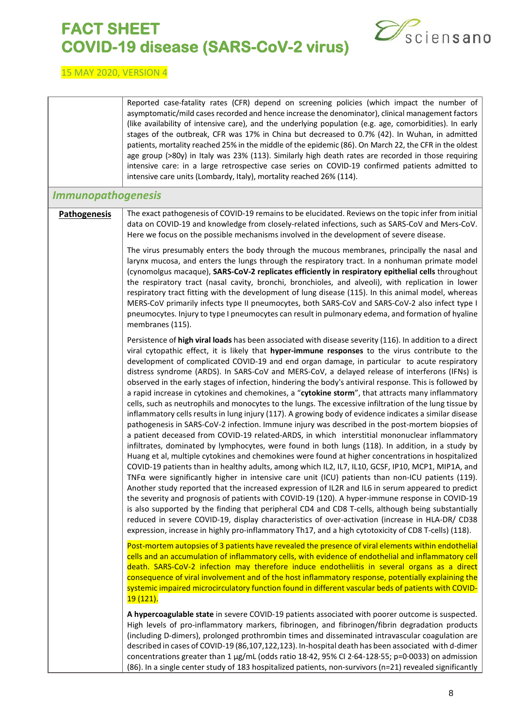

<span id="page-7-0"></span>

|                           | Reported case-fatality rates (CFR) depend on screening policies (which impact the number of<br>asymptomatic/mild cases recorded and hence increase the denominator), clinical management factors<br>(like availability of intensive care), and the underlying population (e.g. age, comorbidities). In early<br>stages of the outbreak, CFR was 17% in China but decreased to 0.7% (42). In Wuhan, in admitted<br>patients, mortality reached 25% in the middle of the epidemic (86). On March 22, the CFR in the oldest<br>age group (>80y) in Italy was 23% (113). Similarly high death rates are recorded in those requiring<br>intensive care: in a large retrospective case series on COVID-19 confirmed patients admitted to<br>intensive care units (Lombardy, Italy), mortality reached 26% (114).                                                                                                                                                                                                                                                                                                                                                                                                                                                                                                                                                                                                                                                                                                                                                                                                                                                                                                                                                                                                                                                                                                                                                                                                        |
|---------------------------|-------------------------------------------------------------------------------------------------------------------------------------------------------------------------------------------------------------------------------------------------------------------------------------------------------------------------------------------------------------------------------------------------------------------------------------------------------------------------------------------------------------------------------------------------------------------------------------------------------------------------------------------------------------------------------------------------------------------------------------------------------------------------------------------------------------------------------------------------------------------------------------------------------------------------------------------------------------------------------------------------------------------------------------------------------------------------------------------------------------------------------------------------------------------------------------------------------------------------------------------------------------------------------------------------------------------------------------------------------------------------------------------------------------------------------------------------------------------------------------------------------------------------------------------------------------------------------------------------------------------------------------------------------------------------------------------------------------------------------------------------------------------------------------------------------------------------------------------------------------------------------------------------------------------------------------------------------------------------------------------------------------------|
| <b>Immunopathogenesis</b> |                                                                                                                                                                                                                                                                                                                                                                                                                                                                                                                                                                                                                                                                                                                                                                                                                                                                                                                                                                                                                                                                                                                                                                                                                                                                                                                                                                                                                                                                                                                                                                                                                                                                                                                                                                                                                                                                                                                                                                                                                   |
| <b>Pathogenesis</b>       | The exact pathogenesis of COVID-19 remains to be elucidated. Reviews on the topic infer from initial<br>data on COVID-19 and knowledge from closely-related infections, such as SARS-CoV and Mers-CoV.<br>Here we focus on the possible mechanisms involved in the development of severe disease.                                                                                                                                                                                                                                                                                                                                                                                                                                                                                                                                                                                                                                                                                                                                                                                                                                                                                                                                                                                                                                                                                                                                                                                                                                                                                                                                                                                                                                                                                                                                                                                                                                                                                                                 |
|                           | The virus presumably enters the body through the mucous membranes, principally the nasal and<br>larynx mucosa, and enters the lungs through the respiratory tract. In a nonhuman primate model<br>(cynomolgus macaque), SARS-CoV-2 replicates efficiently in respiratory epithelial cells throughout<br>the respiratory tract (nasal cavity, bronchi, bronchioles, and alveoli), with replication in lower<br>respiratory tract fitting with the development of lung disease (115). In this animal model, whereas<br>MERS-CoV primarily infects type II pneumocytes, both SARS-CoV and SARS-CoV-2 also infect type I<br>pneumocytes. Injury to type I pneumocytes can result in pulmonary edema, and formation of hyaline<br>membranes (115).                                                                                                                                                                                                                                                                                                                                                                                                                                                                                                                                                                                                                                                                                                                                                                                                                                                                                                                                                                                                                                                                                                                                                                                                                                                                     |
|                           | Persistence of high viral loads has been associated with disease severity (116). In addition to a direct<br>viral cytopathic effect, it is likely that hyper-immune responses to the virus contribute to the<br>development of complicated COVID-19 and end organ damage, in particular to acute respiratory<br>distress syndrome (ARDS). In SARS-CoV and MERS-CoV, a delayed release of interferons (IFNs) is<br>observed in the early stages of infection, hindering the body's antiviral response. This is followed by<br>a rapid increase in cytokines and chemokines, a "cytokine storm", that attracts many inflammatory<br>cells, such as neutrophils and monocytes to the lungs. The excessive infiltration of the lung tissue by<br>inflammatory cells results in lung injury (117). A growing body of evidence indicates a similar disease<br>pathogenesis in SARS-CoV-2 infection. Immune injury was described in the post-mortem biopsies of<br>a patient deceased from COVID-19 related-ARDS, in which interstitial mononuclear inflammatory<br>infiltrates, dominated by lymphocytes, were found in both lungs (118). In addition, in a study by<br>Huang et al, multiple cytokines and chemokines were found at higher concentrations in hospitalized<br>COVID-19 patients than in healthy adults, among which IL2, IL7, IL10, GCSF, IP10, MCP1, MIP1A, and<br>TNF $\alpha$ were significantly higher in intensive care unit (ICU) patients than non-ICU patients (119).<br>Another study reported that the increased expression of IL2R and IL6 in serum appeared to predict<br>the severity and prognosis of patients with COVID-19 (120). A hyper-immune response in COVID-19<br>is also supported by the finding that peripheral CD4 and CD8 T-cells, although being substantially<br>reduced in severe COVID-19, display characteristics of over-activation (increase in HLA-DR/ CD38<br>expression, increase in highly pro-inflammatory Th17, and a high cytotoxicity of CD8 T-cells) (118). |
|                           | Post-mortem autopsies of 3 patients have revealed the presence of viral elements within endothelial<br>cells and an accumulation of inflammatory cells, with evidence of endothelial and inflammatory cell<br>death. SARS-CoV-2 infection may therefore induce endotheliitis in several organs as a direct<br>consequence of viral involvement and of the host inflammatory response, potentially explaining the<br>systemic impaired microcirculatory function found in different vascular beds of patients with COVID-<br>19 (121).                                                                                                                                                                                                                                                                                                                                                                                                                                                                                                                                                                                                                                                                                                                                                                                                                                                                                                                                                                                                                                                                                                                                                                                                                                                                                                                                                                                                                                                                             |
|                           | A hypercoagulable state in severe COVID-19 patients associated with poorer outcome is suspected.<br>High levels of pro-inflammatory markers, fibrinogen, and fibrinogen/fibrin degradation products<br>(including D-dimers), prolonged prothrombin times and disseminated intravascular coagulation are<br>described in cases of COVID-19 (86,107,122,123). In-hospital death has been associated with d-dimer<br>concentrations greater than 1 μg/mL (odds ratio 18.42, 95% CI 2.64-128.55; p=0.0033) on admission<br>(86). In a single center study of 183 hospitalized patients, non-survivors (n=21) revealed significantly                                                                                                                                                                                                                                                                                                                                                                                                                                                                                                                                                                                                                                                                                                                                                                                                                                                                                                                                                                                                                                                                                                                                                                                                                                                                                                                                                                                   |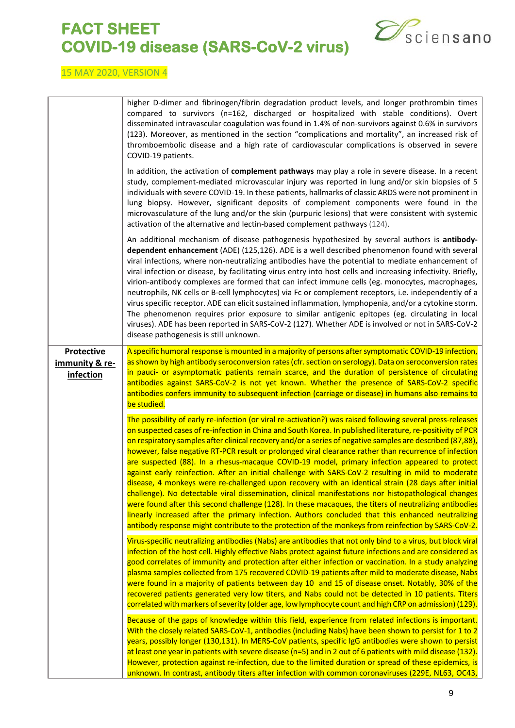

|                                                  | higher D-dimer and fibrinogen/fibrin degradation product levels, and longer prothrombin times<br>compared to survivors (n=162, discharged or hospitalized with stable conditions). Overt<br>disseminated intravascular coagulation was found in 1.4% of non-survivors against 0.6% in survivors<br>(123). Moreover, as mentioned in the section "complications and mortality", an increased risk of<br>thromboembolic disease and a high rate of cardiovascular complications is observed in severe<br>COVID-19 patients.                                                                                                                                                                                                                                                                                                                                                                                                                                                                                                                                                                                                                                                                     |
|--------------------------------------------------|-----------------------------------------------------------------------------------------------------------------------------------------------------------------------------------------------------------------------------------------------------------------------------------------------------------------------------------------------------------------------------------------------------------------------------------------------------------------------------------------------------------------------------------------------------------------------------------------------------------------------------------------------------------------------------------------------------------------------------------------------------------------------------------------------------------------------------------------------------------------------------------------------------------------------------------------------------------------------------------------------------------------------------------------------------------------------------------------------------------------------------------------------------------------------------------------------|
|                                                  | In addition, the activation of complement pathways may play a role in severe disease. In a recent<br>study, complement-mediated microvascular injury was reported in lung and/or skin biopsies of 5<br>individuals with severe COVID-19. In these patients, hallmarks of classic ARDS were not prominent in<br>lung biopsy. However, significant deposits of complement components were found in the<br>microvasculature of the lung and/or the skin (purpuric lesions) that were consistent with systemic<br>activation of the alternative and lectin-based complement pathways (124).                                                                                                                                                                                                                                                                                                                                                                                                                                                                                                                                                                                                       |
|                                                  | An additional mechanism of disease pathogenesis hypothesized by several authors is antibody-<br>dependent enhancement (ADE) (125,126). ADE is a well described phenomenon found with several<br>viral infections, where non-neutralizing antibodies have the potential to mediate enhancement of<br>viral infection or disease, by facilitating virus entry into host cells and increasing infectivity. Briefly,<br>virion-antibody complexes are formed that can infect immune cells (eg. monocytes, macrophages,<br>neutrophils, NK cells or B-cell lymphocytes) via Fc or complement receptors, i.e. independently of a<br>virus specific receptor. ADE can elicit sustained inflammation, lymphopenia, and/or a cytokine storm.<br>The phenomenon requires prior exposure to similar antigenic epitopes (eg. circulating in local<br>viruses). ADE has been reported in SARS-CoV-2 (127). Whether ADE is involved or not in SARS-CoV-2<br>disease pathogenesis is still unknown.                                                                                                                                                                                                          |
| <b>Protective</b><br>immunity & re-<br>infection | A specific humoral response is mounted in a majority of persons after symptomatic COVID-19 infection,<br>as shown by high antibody seroconversion rates (cfr. section on serology). Data on seroconversion rates<br>in pauci- or asymptomatic patients remain scarce, and the duration of persistence of circulating<br>antibodies against SARS-CoV-2 is not yet known. Whether the presence of SARS-CoV-2 specific<br>antibodies confers immunity to subsequent infection (carriage or disease) in humans also remains to<br>be studied.                                                                                                                                                                                                                                                                                                                                                                                                                                                                                                                                                                                                                                                     |
|                                                  | The possibility of early re-infection (or viral re-activation?) was raised following several press-releases<br>on suspected cases of re-infection in China and South Korea. In published literature, re-positivity of PCR<br>on respiratory samples after clinical recovery and/or a series of negative samples are described (87,88),<br>however, false negative RT-PCR result or prolonged viral clearance rather than recurrence of infection<br>are suspected (88). In a rhesus-macaque COVID-19 model, primary infection appeared to protect<br>against early reinfection. After an initial challenge with SARS-CoV-2 resulting in mild to moderate<br>disease, 4 monkeys were re-challenged upon recovery with an identical strain (28 days after initial<br>challenge). No detectable viral dissemination, clinical manifestations nor histopathological changes<br>were found after this second challenge (128). In these macaques, the titers of neutralizing antibodies<br>linearly increased after the primary infection. Authors concluded that this enhanced neutralizing<br>antibody response might contribute to the protection of the monkeys from reinfection by SARS-CoV-2. |
|                                                  | Virus-specific neutralizing antibodies (Nabs) are antibodies that not only bind to a virus, but block viral                                                                                                                                                                                                                                                                                                                                                                                                                                                                                                                                                                                                                                                                                                                                                                                                                                                                                                                                                                                                                                                                                   |
|                                                  | infection of the host cell. Highly effective Nabs protect against future infections and are considered as<br>good correlates of immunity and protection after either infection or vaccination. In a study analyzing<br>plasma samples collected from 175 recovered COVID-19 patients after mild to moderate disease, Nabs<br>were found in a majority of patients between day 10 and 15 of disease onset. Notably, 30% of the<br>recovered patients generated very low titers, and Nabs could not be detected in 10 patients. Titers<br>correlated with markers of severity (older age, low lymphocyte count and high CRP on admission) (129).                                                                                                                                                                                                                                                                                                                                                                                                                                                                                                                                                |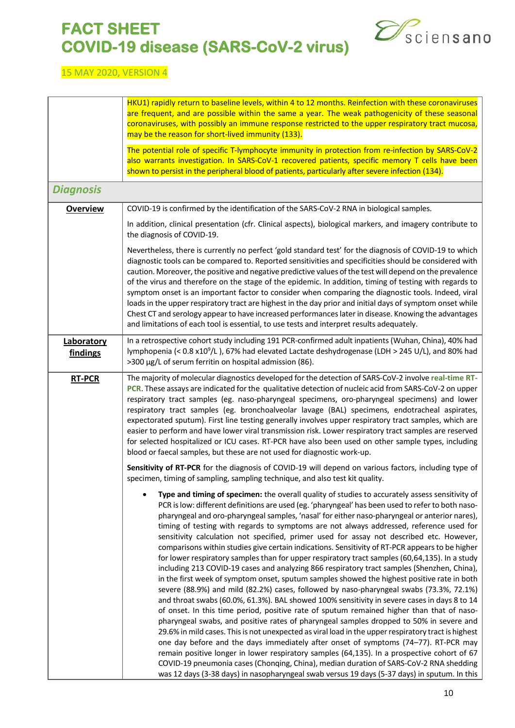

#### 15 MAY 2020, VERSION 4

r

<span id="page-9-0"></span>

|                        | HKU1) rapidly return to baseline levels, within 4 to 12 months. Reinfection with these coronaviruses<br>are frequent, and are possible within the same a year. The weak pathogenicity of these seasonal<br>coronaviruses, with possibly an immune response restricted to the upper respiratory tract mucosa,<br>may be the reason for short-lived immunity (133).                                                                                                                                                                                                                                                                                                                                                                                                                                                                                                                                                                                                                                                                                                                                                                                                                                                                                                                                                                                                                                                                                                                                                                                                               |
|------------------------|---------------------------------------------------------------------------------------------------------------------------------------------------------------------------------------------------------------------------------------------------------------------------------------------------------------------------------------------------------------------------------------------------------------------------------------------------------------------------------------------------------------------------------------------------------------------------------------------------------------------------------------------------------------------------------------------------------------------------------------------------------------------------------------------------------------------------------------------------------------------------------------------------------------------------------------------------------------------------------------------------------------------------------------------------------------------------------------------------------------------------------------------------------------------------------------------------------------------------------------------------------------------------------------------------------------------------------------------------------------------------------------------------------------------------------------------------------------------------------------------------------------------------------------------------------------------------------|
|                        | The potential role of specific T-lymphocyte immunity in protection from re-infection by SARS-CoV-2<br>also warrants investigation. In SARS-CoV-1 recovered patients, specific memory T cells have been<br>shown to persist in the peripheral blood of patients, particularly after severe infection (134).                                                                                                                                                                                                                                                                                                                                                                                                                                                                                                                                                                                                                                                                                                                                                                                                                                                                                                                                                                                                                                                                                                                                                                                                                                                                      |
| <b>Diagnosis</b>       |                                                                                                                                                                                                                                                                                                                                                                                                                                                                                                                                                                                                                                                                                                                                                                                                                                                                                                                                                                                                                                                                                                                                                                                                                                                                                                                                                                                                                                                                                                                                                                                 |
| <b>Overview</b>        | COVID-19 is confirmed by the identification of the SARS-CoV-2 RNA in biological samples.                                                                                                                                                                                                                                                                                                                                                                                                                                                                                                                                                                                                                                                                                                                                                                                                                                                                                                                                                                                                                                                                                                                                                                                                                                                                                                                                                                                                                                                                                        |
|                        | In addition, clinical presentation (cfr. Clinical aspects), biological markers, and imagery contribute to<br>the diagnosis of COVID-19.                                                                                                                                                                                                                                                                                                                                                                                                                                                                                                                                                                                                                                                                                                                                                                                                                                                                                                                                                                                                                                                                                                                                                                                                                                                                                                                                                                                                                                         |
|                        | Nevertheless, there is currently no perfect 'gold standard test' for the diagnosis of COVID-19 to which<br>diagnostic tools can be compared to. Reported sensitivities and specificities should be considered with<br>caution. Moreover, the positive and negative predictive values of the test will depend on the prevalence<br>of the virus and therefore on the stage of the epidemic. In addition, timing of testing with regards to<br>symptom onset is an important factor to consider when comparing the diagnostic tools. Indeed, viral<br>loads in the upper respiratory tract are highest in the day prior and initial days of symptom onset while<br>Chest CT and serology appear to have increased performances later in disease. Knowing the advantages<br>and limitations of each tool is essential, to use tests and interpret results adequately.                                                                                                                                                                                                                                                                                                                                                                                                                                                                                                                                                                                                                                                                                                              |
| Laboratory<br>findings | In a retrospective cohort study including 191 PCR-confirmed adult inpatients (Wuhan, China), 40% had<br>lymphopenia (< 0.8 x10 <sup>9</sup> /L), 67% had elevated Lactate deshydrogenase (LDH > 245 U/L), and 80% had<br>>300 μg/L of serum ferritin on hospital admission (86).                                                                                                                                                                                                                                                                                                                                                                                                                                                                                                                                                                                                                                                                                                                                                                                                                                                                                                                                                                                                                                                                                                                                                                                                                                                                                                |
| <b>RT-PCR</b>          | The majority of molecular diagnostics developed for the detection of SARS-CoV-2 involve real-time RT-<br>PCR. These assays are indicated for the qualitative detection of nucleic acid from SARS-CoV-2 on upper<br>respiratory tract samples (eg. naso-pharyngeal specimens, oro-pharyngeal specimens) and lower<br>respiratory tract samples (eg. bronchoalveolar lavage (BAL) specimens, endotracheal aspirates,<br>expectorated sputum). First line testing generally involves upper respiratory tract samples, which are<br>easier to perform and have lower viral transmission risk. Lower respiratory tract samples are reserved<br>for selected hospitalized or ICU cases. RT-PCR have also been used on other sample types, including<br>blood or faecal samples, but these are not used for diagnostic work-up.                                                                                                                                                                                                                                                                                                                                                                                                                                                                                                                                                                                                                                                                                                                                                        |
|                        | Sensitivity of RT-PCR for the diagnosis of COVID-19 will depend on various factors, including type of<br>specimen, timing of sampling, sampling technique, and also test kit quality.                                                                                                                                                                                                                                                                                                                                                                                                                                                                                                                                                                                                                                                                                                                                                                                                                                                                                                                                                                                                                                                                                                                                                                                                                                                                                                                                                                                           |
|                        | Type and timing of specimen: the overall quality of studies to accurately assess sensitivity of<br>PCR is low: different definitions are used (eg. 'pharyngeal' has been used to refer to both naso-<br>pharyngeal and oro-pharyngeal samples, 'nasal' for either naso-pharyngeal or anterior nares),<br>timing of testing with regards to symptoms are not always addressed, reference used for<br>sensitivity calculation not specified, primer used for assay not described etc. However,<br>comparisons within studies give certain indications. Sensitivity of RT-PCR appears to be higher<br>for lower respiratory samples than for upper respiratory tract samples (60,64,135). In a study<br>including 213 COVID-19 cases and analyzing 866 respiratory tract samples (Shenzhen, China),<br>in the first week of symptom onset, sputum samples showed the highest positive rate in both<br>severe (88.9%) and mild (82.2%) cases, followed by naso-pharyngeal swabs (73.3%, 72.1%)<br>and throat swabs (60.0%, 61.3%). BAL showed 100% sensitivity in severe cases in days 8 to 14<br>of onset. In this time period, positive rate of sputum remained higher than that of naso-<br>pharyngeal swabs, and positive rates of pharyngeal samples dropped to 50% in severe and<br>29.6% in mild cases. This is not unexpected as viral load in the upper respiratory tract is highest<br>one day before and the days immediately after onset of symptoms (74-77). RT-PCR may<br>remain positive longer in lower respiratory samples (64,135). In a prospective cohort of 67 |
|                        | COVID-19 pneumonia cases (Chonqing, China), median duration of SARS-CoV-2 RNA shedding<br>was 12 days (3-38 days) in nasopharyngeal swab versus 19 days (5-37 days) in sputum. In this                                                                                                                                                                                                                                                                                                                                                                                                                                                                                                                                                                                                                                                                                                                                                                                                                                                                                                                                                                                                                                                                                                                                                                                                                                                                                                                                                                                          |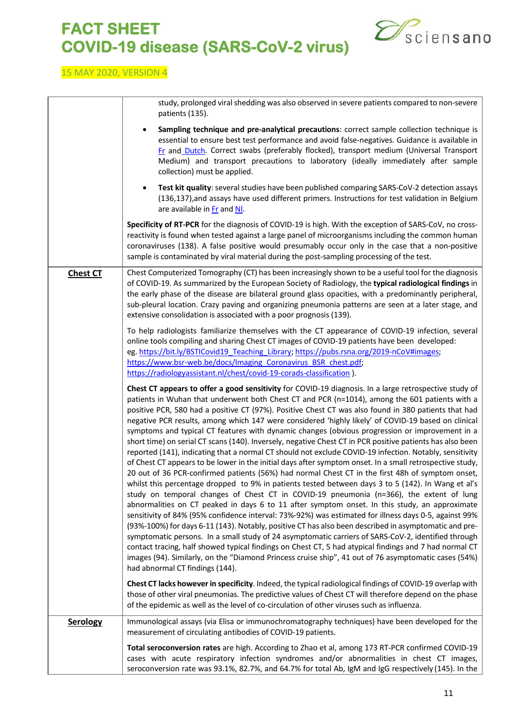

#### 15 MAY 2020, VERSION 4

study, prolonged viral shedding was also observed in severe patients compared to non-severe patients (135). • **Sampling technique and pre-analytical precautions**: correct sample collection technique is essential to ensure best test performance and avoid false-negatives. Guidance is available i[n](https://epidemio.wiv-isp.be/ID/Documents/Covid19/COVID19_procedure_sampling_FR.pdf) [Fr](https://epidemio.wiv-isp.be/ID/Documents/Covid19/COVID19_procedure_sampling_FR.pdf) and [Dutch.](https://epidemio.wiv-isp.be/ID/Documents/Covid19/COVID19_procedure_sampling_NL.pdf) Correct swabs (preferably flocked), transport medium (Universal Transport Medium) and transport precautions to laboratory (ideally immediately after sample collection) must be applied. • **Test kit quality**: several studies have been published comparing SARS-CoV-2 detection assays (136,137),and assays have used different primers. Instructions for test validation in Belgium are available in [Fr](https://epidemio.wiv-isp.be/ID/Documents/Covid19/COVID-19_procedure_lab-accreditation_FR.pdf) and NI. **Specificity of RT-PCR** for the diagnosis of COVID-19 is high. With the exception of SARS-CoV, no crossreactivity is found when tested against a large panel of microorganisms including the common human coronaviruses (138). A false positive would presumably occur only in the case that a non-positive sample is contaminated by viral material during the post-sampling processing of the test. **Chest CT** Chest Computerized Tomography (CT) has been increasingly shown to be a useful tool for the diagnosis of COVID-19. As summarized by the European Society of Radiology, the **typical radiological findings** in the early phase of the disease are bilateral ground glass opacities, with a predominantly peripheral, sub-pleural location. Crazy paving and organizing pneumonia patterns are seen at a later stage, and extensive consolidation is associated with a poor prognosis (139). To help radiologists familiarize themselves with the CT appearance of COVID-19 infection, several online tools compiling and sharing Chest CT images of COVID-19 patients have been developed: eg. [https://bit.ly/BSTICovid19\\_Teaching\\_Library;](https://bit.ly/BSTICovid19_Teaching_Library) https://pubs.rsna.org/2019-nCoV#images; [https://www.bsr-web.be/docs/Imaging\\_Coronavirus\\_BSR\\_chest.pdf;](https://www.bsr-web.be/docs/Imaging_Coronavirus_BSR_chest.pdf) <https://radiologyassistant.nl/chest/covid-19-corads-classification> ). **Chest CT appears to offer a good sensitivity** for COVID-19 diagnosis. In a large retrospective study of patients in Wuhan that underwent both Chest CT and PCR (n=1014), among the 601 patients with a positive PCR, 580 had a positive CT (97%). Positive Chest CT was also found in 380 patients that had negative PCR results, among which 147 were considered 'highly likely' of COVID-19 based on clinical symptoms and typical CT features with dynamic changes (obvious progression or improvement in a short time) on serial CT scans (140). Inversely, negative Chest CT in PCR positive patients has also been reported (141), indicating that a normal CT should not exclude COVID-19 infection. Notably, sensitivity of Chest CT appears to be lower in the initial days after symptom onset. In a small retrospective study, 20 out of 36 PCR-confirmed patients (56%) had normal Chest CT in the first 48h of symptom onset, whilst this percentage dropped to 9% in patients tested between days 3 to 5 (142). In Wang et al's study on temporal changes of Chest CT in COVID-19 pneumonia (n=366), the extent of lung abnormalities on CT peaked in days 6 to 11 after symptom onset. In this study, an approximate sensitivity of 84% (95% confidence interval: 73%-92%) was estimated for illness days 0-5, against 99% (93%-100%) for days 6-11 (143). Notably, positive CT has also been described in asymptomatic and presymptomatic persons. In a small study of 24 asymptomatic carriers of SARS-CoV-2, identified through contact tracing, half showed typical findings on Chest CT, 5 had atypical findings and 7 had normal CT images (94). Similarly, on the "Diamond Princess cruise ship", 41 out of 76 asymptomatic cases (54%) had abnormal CT findings (144). **Chest CT lacks however in specificity**. Indeed, the typical radiological findings of COVID-19 overlap with those of other viral pneumonias. The predictive values of Chest CT will therefore depend on the phase of the epidemic as well as the level of co-circulation of other viruses such as influenza. **Serology** | Immunological assays (via Elisa or immunochromatography techniques) have been developed for the measurement of circulating antibodies of COVID-19 patients. **Total seroconversion rates** are high. According to Zhao et al, among 173 RT-PCR confirmed COVID-19 cases with acute respiratory infection syndromes and/or abnormalities in chest CT images, seroconversion rate was 93.1%, 82.7%, and 64.7% for total Ab, IgM and IgG respectively (145). In the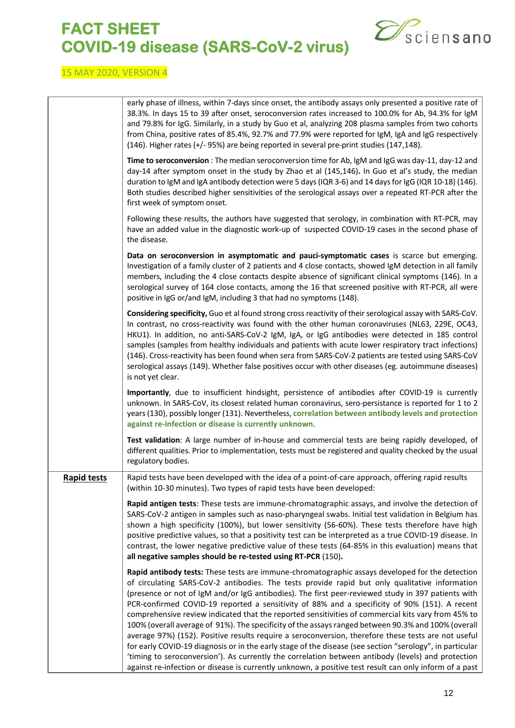

|                    | early phase of illness, within 7-days since onset, the antibody assays only presented a positive rate of<br>38.3%. In days 15 to 39 after onset, seroconversion rates increased to 100.0% for Ab, 94.3% for IgM<br>and 79.8% for IgG. Similarly, in a study by Guo et al, analyzing 208 plasma samples from two cohorts<br>from China, positive rates of 85.4%, 92.7% and 77.9% were reported for IgM, IgA and IgG respectively<br>(146). Higher rates (+/- 95%) are being reported in several pre-print studies (147,148).                                                                                                                                                                                                                                                                                                                                                                                                                                                                                                                              |
|--------------------|----------------------------------------------------------------------------------------------------------------------------------------------------------------------------------------------------------------------------------------------------------------------------------------------------------------------------------------------------------------------------------------------------------------------------------------------------------------------------------------------------------------------------------------------------------------------------------------------------------------------------------------------------------------------------------------------------------------------------------------------------------------------------------------------------------------------------------------------------------------------------------------------------------------------------------------------------------------------------------------------------------------------------------------------------------|
|                    | Time to seroconversion : The median seroconversion time for Ab, IgM and IgG was day-11, day-12 and<br>day-14 after symptom onset in the study by Zhao et al (145,146). In Guo et al's study, the median<br>duration to IgM and IgA antibody detection were 5 days (IQR 3-6) and 14 days for IgG (IQR 10-18) (146).<br>Both studies described higher sensitivities of the serological assays over a repeated RT-PCR after the<br>first week of symptom onset.                                                                                                                                                                                                                                                                                                                                                                                                                                                                                                                                                                                             |
|                    | Following these results, the authors have suggested that serology, in combination with RT-PCR, may<br>have an added value in the diagnostic work-up of suspected COVID-19 cases in the second phase of<br>the disease.                                                                                                                                                                                                                                                                                                                                                                                                                                                                                                                                                                                                                                                                                                                                                                                                                                   |
|                    | Data on seroconversion in asymptomatic and pauci-symptomatic cases is scarce but emerging.<br>Investigation of a family cluster of 2 patients and 4 close contacts, showed IgM detection in all family<br>members, including the 4 close contacts despite absence of significant clinical symptoms (146). In a<br>serological survey of 164 close contacts, among the 16 that screened positive with RT-PCR, all were<br>positive in IgG or/and IgM, including 3 that had no symptoms (148).                                                                                                                                                                                                                                                                                                                                                                                                                                                                                                                                                             |
|                    | Considering specificity, Guo et al found strong cross reactivity of their serological assay with SARS-CoV.<br>In contrast, no cross-reactivity was found with the other human coronaviruses (NL63, 229E, OC43,<br>HKU1). In addition, no anti-SARS-CoV-2 IgM, IgA, or IgG antibodies were detected in 185 control<br>samples (samples from healthy individuals and patients with acute lower respiratory tract infections)<br>(146). Cross-reactivity has been found when sera from SARS-CoV-2 patients are tested using SARS-CoV<br>serological assays (149). Whether false positives occur with other diseases (eg. autoimmune diseases)<br>is not yet clear.                                                                                                                                                                                                                                                                                                                                                                                          |
|                    | Importantly, due to insufficient hindsight, persistence of antibodies after COVID-19 is currently<br>unknown. In SARS-CoV, its closest related human coronavirus, sero-persistance is reported for 1 to 2<br>years (130), possibly longer (131). Nevertheless, correlation between antibody levels and protection<br>against re-infection or disease is currently unknown.                                                                                                                                                                                                                                                                                                                                                                                                                                                                                                                                                                                                                                                                               |
|                    | Test validation: A large number of in-house and commercial tests are being rapidly developed, of<br>different qualities. Prior to implementation, tests must be registered and quality checked by the usual<br>regulatory bodies.                                                                                                                                                                                                                                                                                                                                                                                                                                                                                                                                                                                                                                                                                                                                                                                                                        |
| <b>Rapid tests</b> | Rapid tests have been developed with the idea of a point-of-care approach, offering rapid results<br>(within 10-30 minutes). Two types of rapid tests have been developed:                                                                                                                                                                                                                                                                                                                                                                                                                                                                                                                                                                                                                                                                                                                                                                                                                                                                               |
|                    | Rapid antigen tests: These tests are immune-chromatographic assays, and involve the detection of<br>SARS-CoV-2 antigen in samples such as naso-pharyngeal swabs. Initial test validation in Belgium has<br>shown a high specificity (100%), but lower sensitivity (56-60%). These tests therefore have high<br>positive predictive values, so that a positivity test can be interpreted as a true COVID-19 disease. In<br>contrast, the lower negative predictive value of these tests (64-85% in this evaluation) means that<br>all negative samples should be re-tested using RT-PCR (150).                                                                                                                                                                                                                                                                                                                                                                                                                                                            |
|                    | Rapid antibody tests: These tests are immune-chromatographic assays developed for the detection<br>of circulating SARS-CoV-2 antibodies. The tests provide rapid but only qualitative information<br>(presence or not of IgM and/or IgG antibodies). The first peer-reviewed study in 397 patients with<br>PCR-confirmed COVID-19 reported a sensitivity of 88% and a specificity of 90% (151). A recent<br>comprehensive review indicated that the reported sensitivities of commercial kits vary from 45% to<br>100% (overall average of 91%). The specificity of the assays ranged between 90.3% and 100% (overall<br>average 97%) (152). Positive results require a seroconversion, therefore these tests are not useful<br>for early COVID-19 diagnosis or in the early stage of the disease (see section "serology", in particular<br>'timing to seroconversion'). As currently the correlation between antibody (levels) and protection<br>against re-infection or disease is currently unknown, a positive test result can only inform of a past |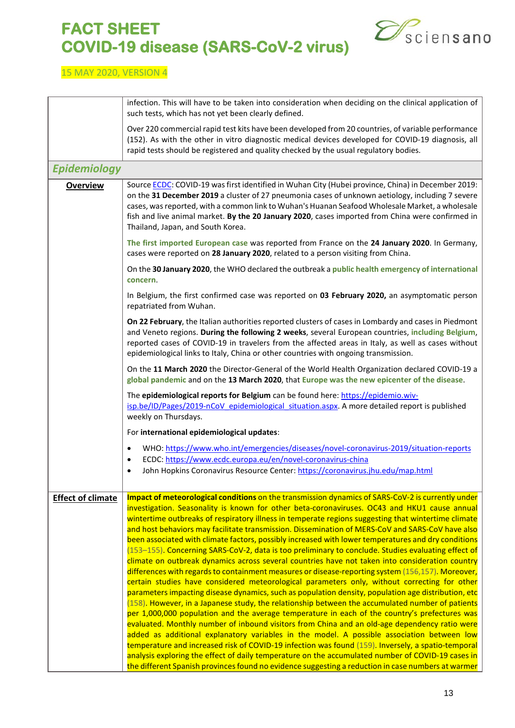

<span id="page-12-0"></span>

|                          | infection. This will have to be taken into consideration when deciding on the clinical application of<br>such tests, which has not yet been clearly defined.                                                                                                                                                                                                                                                                                                                                                                                                                                                                                                                                                                                                                                                                                                                                                                                                                                                                                                                                                                                                                                                                                                                                                                                                                                                                                                                                                                                                                                                                                                                                                                                                   |
|--------------------------|----------------------------------------------------------------------------------------------------------------------------------------------------------------------------------------------------------------------------------------------------------------------------------------------------------------------------------------------------------------------------------------------------------------------------------------------------------------------------------------------------------------------------------------------------------------------------------------------------------------------------------------------------------------------------------------------------------------------------------------------------------------------------------------------------------------------------------------------------------------------------------------------------------------------------------------------------------------------------------------------------------------------------------------------------------------------------------------------------------------------------------------------------------------------------------------------------------------------------------------------------------------------------------------------------------------------------------------------------------------------------------------------------------------------------------------------------------------------------------------------------------------------------------------------------------------------------------------------------------------------------------------------------------------------------------------------------------------------------------------------------------------|
|                          | Over 220 commercial rapid test kits have been developed from 20 countries, of variable performance<br>(152). As with the other in vitro diagnostic medical devices developed for COVID-19 diagnosis, all<br>rapid tests should be registered and quality checked by the usual regulatory bodies.                                                                                                                                                                                                                                                                                                                                                                                                                                                                                                                                                                                                                                                                                                                                                                                                                                                                                                                                                                                                                                                                                                                                                                                                                                                                                                                                                                                                                                                               |
| <b>Epidemiology</b>      |                                                                                                                                                                                                                                                                                                                                                                                                                                                                                                                                                                                                                                                                                                                                                                                                                                                                                                                                                                                                                                                                                                                                                                                                                                                                                                                                                                                                                                                                                                                                                                                                                                                                                                                                                                |
| <b>Overview</b>          | Source ECDC: COVID-19 was first identified in Wuhan City (Hubei province, China) in December 2019:<br>on the 31 December 2019 a cluster of 27 pneumonia cases of unknown aetiology, including 7 severe<br>cases, was reported, with a common link to Wuhan's Huanan Seafood Wholesale Market, a wholesale<br>fish and live animal market. By the 20 January 2020, cases imported from China were confirmed in<br>Thailand, Japan, and South Korea.                                                                                                                                                                                                                                                                                                                                                                                                                                                                                                                                                                                                                                                                                                                                                                                                                                                                                                                                                                                                                                                                                                                                                                                                                                                                                                             |
|                          | The first imported European case was reported from France on the 24 January 2020. In Germany,<br>cases were reported on 28 January 2020, related to a person visiting from China.                                                                                                                                                                                                                                                                                                                                                                                                                                                                                                                                                                                                                                                                                                                                                                                                                                                                                                                                                                                                                                                                                                                                                                                                                                                                                                                                                                                                                                                                                                                                                                              |
|                          | On the 30 January 2020, the WHO declared the outbreak a public health emergency of international<br>concern.                                                                                                                                                                                                                                                                                                                                                                                                                                                                                                                                                                                                                                                                                                                                                                                                                                                                                                                                                                                                                                                                                                                                                                                                                                                                                                                                                                                                                                                                                                                                                                                                                                                   |
|                          | In Belgium, the first confirmed case was reported on 03 February 2020, an asymptomatic person<br>repatriated from Wuhan.                                                                                                                                                                                                                                                                                                                                                                                                                                                                                                                                                                                                                                                                                                                                                                                                                                                                                                                                                                                                                                                                                                                                                                                                                                                                                                                                                                                                                                                                                                                                                                                                                                       |
|                          | On 22 February, the Italian authorities reported clusters of cases in Lombardy and cases in Piedmont<br>and Veneto regions. During the following 2 weeks, several European countries, including Belgium,<br>reported cases of COVID-19 in travelers from the affected areas in Italy, as well as cases without<br>epidemiological links to Italy, China or other countries with ongoing transmission.                                                                                                                                                                                                                                                                                                                                                                                                                                                                                                                                                                                                                                                                                                                                                                                                                                                                                                                                                                                                                                                                                                                                                                                                                                                                                                                                                          |
|                          | On the 11 March 2020 the Director-General of the World Health Organization declared COVID-19 a<br>global pandemic and on the 13 March 2020, that Europe was the new epicenter of the disease.                                                                                                                                                                                                                                                                                                                                                                                                                                                                                                                                                                                                                                                                                                                                                                                                                                                                                                                                                                                                                                                                                                                                                                                                                                                                                                                                                                                                                                                                                                                                                                  |
|                          | The epidemiological reports for Belgium can be found here: https://epidemio.wiv-<br>isp.be/ID/Pages/2019-nCoV epidemiological situation.aspx. A more detailed report is published<br>weekly on Thursdays.                                                                                                                                                                                                                                                                                                                                                                                                                                                                                                                                                                                                                                                                                                                                                                                                                                                                                                                                                                                                                                                                                                                                                                                                                                                                                                                                                                                                                                                                                                                                                      |
|                          | For international epidemiological updates:                                                                                                                                                                                                                                                                                                                                                                                                                                                                                                                                                                                                                                                                                                                                                                                                                                                                                                                                                                                                                                                                                                                                                                                                                                                                                                                                                                                                                                                                                                                                                                                                                                                                                                                     |
|                          | WHO: https://www.who.int/emergencies/diseases/novel-coronavirus-2019/situation-reports<br>$\bullet$<br>ECDC: https://www.ecdc.europa.eu/en/novel-coronavirus-china<br>$\bullet$<br>John Hopkins Coronavirus Resource Center: https://coronavirus.jhu.edu/map.html<br>$\bullet$                                                                                                                                                                                                                                                                                                                                                                                                                                                                                                                                                                                                                                                                                                                                                                                                                                                                                                                                                                                                                                                                                                                                                                                                                                                                                                                                                                                                                                                                                 |
| <b>Effect of climate</b> | Impact of meteorological conditions on the transmission dynamics of SARS-CoV-2 is currently under<br>investigation. Seasonality is known for other beta-coronaviruses. OC43 and HKU1 cause annual<br>wintertime outbreaks of respiratory illness in temperate regions suggesting that wintertime climate<br>and host behaviors may facilitate transmission. Dissemination of MERS-CoV and SARS-CoV have also<br>been associated with climate factors, possibly increased with lower temperatures and dry conditions<br>(153-155). Concerning SARS-CoV-2, data is too preliminary to conclude. Studies evaluating effect of<br>climate on outbreak dynamics across several countries have not taken into consideration country<br>differences with regards to containment measures or disease-reporting system (156,157). Moreover,<br>certain studies have considered meteorological parameters only, without correcting for other<br>parameters impacting disease dynamics, such as population density, population age distribution, etc<br>(158). However, in a Japanese study, the relationship between the accumulated number of patients<br>per 1,000,000 population and the average temperature in each of the country's prefectures was<br>evaluated. Monthly number of inbound visitors from China and an old-age dependency ratio were<br>added as additional explanatory variables in the model. A possible association between low<br>temperature and increased risk of COVID-19 infection was found (159). Inversely, a spatio-temporal<br>analysis exploring the effect of daily temperature on the accumulated number of COVID-19 cases in<br>the different Spanish provinces found no evidence suggesting a reduction in case numbers at warmer |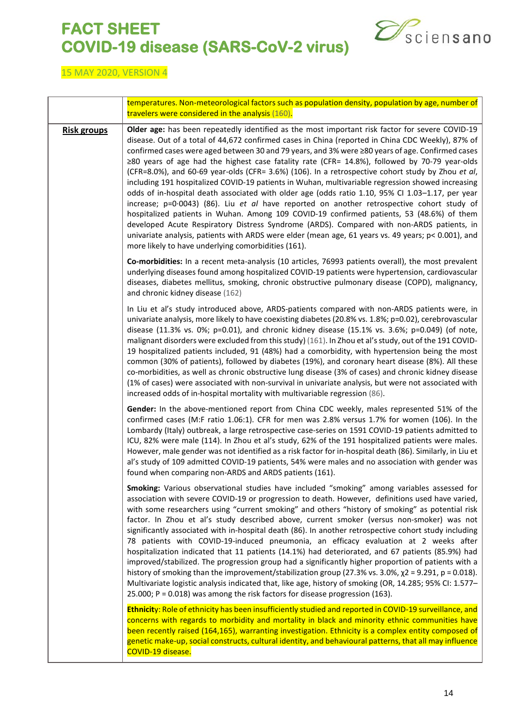

|                    | temperatures. Non-meteorological factors such as population density, population by age, number of<br>travelers were considered in the analysis (160).                                                                                                                                                                                                                                                                                                                                                                                                                                                                                                                                                                                                                                                                                                                                                                                                                                                                                                                                                                                                                            |
|--------------------|----------------------------------------------------------------------------------------------------------------------------------------------------------------------------------------------------------------------------------------------------------------------------------------------------------------------------------------------------------------------------------------------------------------------------------------------------------------------------------------------------------------------------------------------------------------------------------------------------------------------------------------------------------------------------------------------------------------------------------------------------------------------------------------------------------------------------------------------------------------------------------------------------------------------------------------------------------------------------------------------------------------------------------------------------------------------------------------------------------------------------------------------------------------------------------|
| <b>Risk groups</b> | Older age: has been repeatedly identified as the most important risk factor for severe COVID-19<br>disease. Out of a total of 44,672 confirmed cases in China (reported in China CDC Weekly), 87% of<br>confirmed cases were aged between 30 and 79 years, and 3% were ≥80 years of age. Confirmed cases<br>≥80 years of age had the highest case fatality rate (CFR= 14.8%), followed by 70-79 year-olds<br>(CFR=8.0%), and 60-69 year-olds (CFR= 3.6%) (106). In a retrospective cohort study by Zhou et al,<br>including 191 hospitalized COVID-19 patients in Wuhan, multivariable regression showed increasing<br>odds of in-hospital death associated with older age (odds ratio 1.10, 95% CI 1.03-1.17, per year<br>increase; $p=0.0043$ ) (86). Liu et al have reported on another retrospective cohort study of<br>hospitalized patients in Wuhan. Among 109 COVID-19 confirmed patients, 53 (48.6%) of them<br>developed Acute Respiratory Distress Syndrome (ARDS). Compared with non-ARDS patients, in<br>univariate analysis, patients with ARDS were elder (mean age, 61 years vs. 49 years; p< 0.001), and<br>more likely to have underlying comorbidities (161). |
|                    | Co-morbidities: In a recent meta-analysis (10 articles, 76993 patients overall), the most prevalent<br>underlying diseases found among hospitalized COVID-19 patients were hypertension, cardiovascular<br>diseases, diabetes mellitus, smoking, chronic obstructive pulmonary disease (COPD), malignancy,<br>and chronic kidney disease (162)                                                                                                                                                                                                                                                                                                                                                                                                                                                                                                                                                                                                                                                                                                                                                                                                                                   |
|                    | In Liu et al's study introduced above, ARDS-patients compared with non-ARDS patients were, in<br>univariate analysis, more likely to have coexisting diabetes (20.8% vs. 1.8%; p=0.02), cerebrovascular<br>disease (11.3% vs. 0%; p=0.01), and chronic kidney disease (15.1% vs. 3.6%; p=0.049) (of note,<br>malignant disorders were excluded from this study) (161). In Zhou et al's study, out of the 191 COVID-<br>19 hospitalized patients included, 91 (48%) had a comorbidity, with hypertension being the most<br>common (30% of patients), followed by diabetes (19%), and coronary heart disease (8%). All these<br>co-morbidities, as well as chronic obstructive lung disease (3% of cases) and chronic kidney disease<br>(1% of cases) were associated with non-survival in univariate analysis, but were not associated with<br>increased odds of in-hospital mortality with multivariable regression (86).                                                                                                                                                                                                                                                        |
|                    | Gender: In the above-mentioned report from China CDC weekly, males represented 51% of the<br>confirmed cases (M:F ratio 1.06:1). CFR for men was 2.8% versus 1.7% for women (106). In the<br>Lombardy (Italy) outbreak, a large retrospective case-series on 1591 COVID-19 patients admitted to<br>ICU, 82% were male (114). In Zhou et al's study, 62% of the 191 hospitalized patients were males.<br>However, male gender was not identified as a risk factor for in-hospital death (86). Similarly, in Liu et<br>al's study of 109 admitted COVID-19 patients, 54% were males and no association with gender was<br>found when comparing non-ARDS and ARDS patients (161).                                                                                                                                                                                                                                                                                                                                                                                                                                                                                                   |
|                    | Smoking: Various observational studies have included "smoking" among variables assessed for<br>association with severe COVID-19 or progression to death. However, definitions used have varied,<br>with some researchers using "current smoking" and others "history of smoking" as potential risk<br>factor. In Zhou et al's study described above, current smoker (versus non-smoker) was not<br>significantly associated with in-hospital death (86). In another retrospective cohort study including<br>78 patients with COVID-19-induced pneumonia, an efficacy evaluation at 2 weeks after<br>hospitalization indicated that 11 patients (14.1%) had deteriorated, and 67 patients (85.9%) had<br>improved/stabilized. The progression group had a significantly higher proportion of patients with a<br>history of smoking than the improvement/stabilization group (27.3% vs. 3.0%, $\chi$ 2 = 9.291, p = 0.018).<br>Multivariate logistic analysis indicated that, like age, history of smoking (OR, 14.285; 95% CI: 1.577-<br>25.000; P = 0.018) was among the risk factors for disease progression (163).                                                             |
|                    | Ethnicity: Role of ethnicity has been insufficiently studied and reported in COVID-19 surveillance, and<br>concerns with regards to morbidity and mortality in black and minority ethnic communities have<br>been recently raised (164,165), warranting investigation. Ethnicity is a complex entity composed of<br>genetic make-up, social constructs, cultural identity, and behavioural patterns, that all may influence<br>COVID-19 disease.                                                                                                                                                                                                                                                                                                                                                                                                                                                                                                                                                                                                                                                                                                                                 |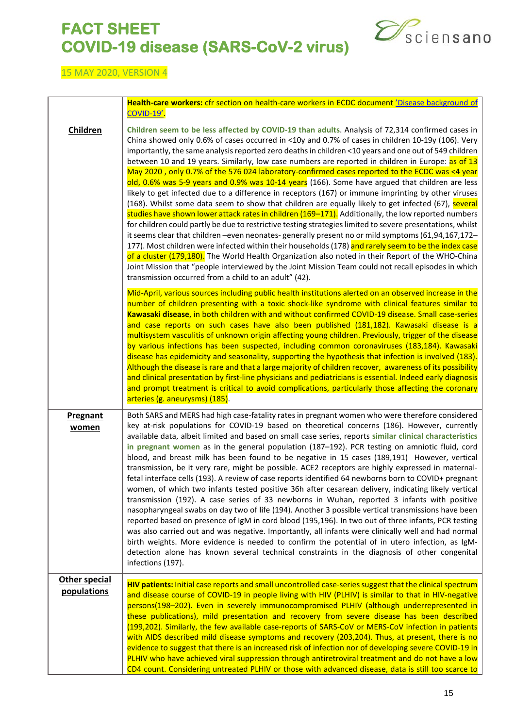

|                              | Health-care workers: cfr section on health-care workers in ECDC document <i>'Disease background of</i><br>COVID-19'.                                                                                                                                                                                                                                                                                                                                                                                                                                                                                                                                                                                                                                                                                                                                                                                                                                                                                                                                                                                                                                                                                                                                                                                                                                                                                                                                                                                                                           |
|------------------------------|------------------------------------------------------------------------------------------------------------------------------------------------------------------------------------------------------------------------------------------------------------------------------------------------------------------------------------------------------------------------------------------------------------------------------------------------------------------------------------------------------------------------------------------------------------------------------------------------------------------------------------------------------------------------------------------------------------------------------------------------------------------------------------------------------------------------------------------------------------------------------------------------------------------------------------------------------------------------------------------------------------------------------------------------------------------------------------------------------------------------------------------------------------------------------------------------------------------------------------------------------------------------------------------------------------------------------------------------------------------------------------------------------------------------------------------------------------------------------------------------------------------------------------------------|
| Children                     | Children seem to be less affected by COVID-19 than adults. Analysis of 72,314 confirmed cases in<br>China showed only 0.6% of cases occurred in <10y and 0.7% of cases in children 10-19y (106). Very<br>importantly, the same analysis reported zero deaths in children <10 years and one out of 549 children<br>between 10 and 19 years. Similarly, low case numbers are reported in children in Europe: as of 13<br>May 2020, only 0.7% of the 576 024 laboratory-confirmed cases reported to the ECDC was <4 year<br>old, 0.6% was 5-9 years and 0.9% was 10-14 years (166). Some have argued that children are less<br>likely to get infected due to a difference in receptors (167) or immune imprinting by other viruses<br>(168). Whilst some data seem to show that children are equally likely to get infected (67), several<br>studies have shown lower attack rates in children (169-171). Additionally, the low reported numbers<br>for children could partly be due to restrictive testing strategies limited to severe presentations, whilst<br>it seems clear that children -even neonates- generally present no or mild symptoms (61,94,167,172-<br>177). Most children were infected within their households (178) and rarely seem to be the index case<br>of a cluster (179,180). The World Health Organization also noted in their Report of the WHO-China<br>Joint Mission that "people interviewed by the Joint Mission Team could not recall episodes in which<br>transmission occurred from a child to an adult" (42). |
|                              | Mid-April, various sources including public health institutions alerted on an observed increase in the<br>number of children presenting with a toxic shock-like syndrome with clinical features similar to<br>Kawasaki disease, in both children with and without confirmed COVID-19 disease. Small case-series<br>and case reports on such cases have also been published (181,182). Kawasaki disease is a<br>multisystem vasculitis of unknown origin affecting young children. Previously, trigger of the disease<br>by various infections has been suspected, including common coronaviruses (183,184). Kawasaki<br>disease has epidemicity and seasonality, supporting the hypothesis that infection is involved (183).<br>Although the disease is rare and that a large majority of children recover, awareness of its possibility<br>and clinical presentation by first-line physicians and pediatricians is essential. Indeed early diagnosis<br>and prompt treatment is critical to avoid complications, particularly those affecting the coronary<br>arteries (g. aneurysms) (185).                                                                                                                                                                                                                                                                                                                                                                                                                                                  |
| Pregnant<br>women            | Both SARS and MERS had high case-fatality rates in pregnant women who were therefore considered<br>key at-risk populations for COVID-19 based on theoretical concerns (186). However, currently<br>available data, albeit limited and based on small case series, reports similar clinical characteristics<br>in pregnant women as in the general population (187-192). PCR testing on amniotic fluid, cord<br>blood, and breast milk has been found to be negative in 15 cases (189,191) However, vertical<br>transmission, be it very rare, might be possible. ACE2 receptors are highly expressed in maternal-<br>fetal interface cells (193). A review of case reports identified 64 newborns born to COVID+ pregnant<br>women, of which two infants tested positive 36h after cesarean delivery, indicating likely vertical<br>transmission (192). A case series of 33 newborns in Wuhan, reported 3 infants with positive<br>nasopharyngeal swabs on day two of life (194). Another 3 possible vertical transmissions have been<br>reported based on presence of IgM in cord blood (195,196). In two out of three infants, PCR testing<br>was also carried out and was negative. Importantly, all infants were clinically well and had normal<br>birth weights. More evidence is needed to confirm the potential of in utero infection, as IgM-<br>detection alone has known several technical constraints in the diagnosis of other congenital<br>infections (197).                                                                     |
| Other special<br>populations | HIV patients: Initial case reports and small uncontrolled case-series suggest that the clinical spectrum<br>and disease course of COVID-19 in people living with HIV (PLHIV) is similar to that in HIV-negative<br>persons(198-202). Even in severely immunocompromised PLHIV (although underrepresented in<br>these publications), mild presentation and recovery from severe disease has been described<br>(199,202). Similarly, the few available case-reports of SARS-CoV or MERS-CoV infection in patients<br>with AIDS described mild disease symptoms and recovery (203,204). Thus, at present, there is no<br>evidence to suggest that there is an increased risk of infection nor of developing severe COVID-19 in<br>PLHIV who have achieved viral suppression through antiretroviral treatment and do not have a low<br>CD4 count. Considering untreated PLHIV or those with advanced disease, data is still too scarce to                                                                                                                                                                                                                                                                                                                                                                                                                                                                                                                                                                                                          |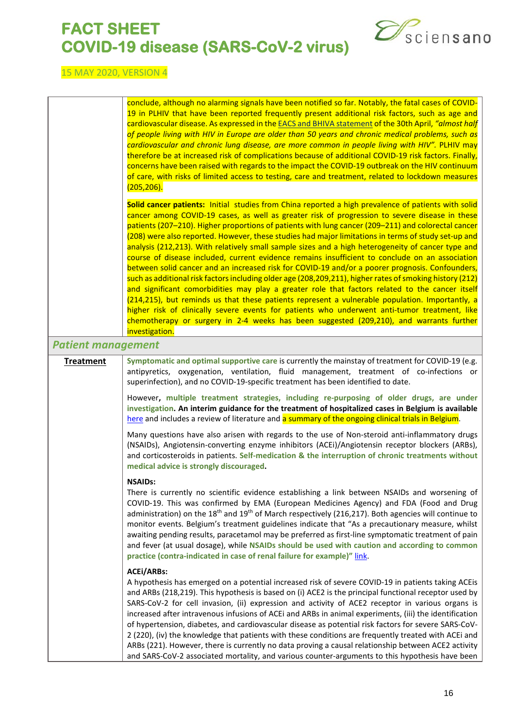

<span id="page-15-0"></span>

|                           | conclude, although no alarming signals have been notified so far. Notably, the fatal cases of COVID-<br>19 in PLHIV that have been reported frequently present additional risk factors, such as age and<br>cardiovascular disease. As expressed in the <b>EACS</b> and BHIVA statement of the 30th April, "almost half<br>of people living with HIV in Europe are older than 50 years and chronic medical problems, such as<br>cardiovascular and chronic lung disease, are more common in people living with HIV". PLHIV may<br>therefore be at increased risk of complications because of additional COVID-19 risk factors. Finally,<br>concerns have been raised with regards to the impact the COVID-19 outbreak on the HIV continuum<br>of care, with risks of limited access to testing, care and treatment, related to lockdown measures<br>(205, 206).                                                                                                                                                                                                                                                                                                                                                                                                  |
|---------------------------|-----------------------------------------------------------------------------------------------------------------------------------------------------------------------------------------------------------------------------------------------------------------------------------------------------------------------------------------------------------------------------------------------------------------------------------------------------------------------------------------------------------------------------------------------------------------------------------------------------------------------------------------------------------------------------------------------------------------------------------------------------------------------------------------------------------------------------------------------------------------------------------------------------------------------------------------------------------------------------------------------------------------------------------------------------------------------------------------------------------------------------------------------------------------------------------------------------------------------------------------------------------------|
|                           | Solid cancer patients: Initial studies from China reported a high prevalence of patients with solid<br>cancer among COVID-19 cases, as well as greater risk of progression to severe disease in these<br>patients (207-210). Higher proportions of patients with lung cancer (209-211) and colorectal cancer<br>(208) were also reported. However, these studies had major limitations in terms of study set-up and<br>analysis (212,213). With relatively small sample sizes and a high heterogeneity of cancer type and<br>course of disease included, current evidence remains insufficient to conclude on an association<br>between solid cancer and an increased risk for COVID-19 and/or a poorer prognosis. Confounders,<br>such as additional risk factors including older age (208,209,211), higher rates of smoking history (212)<br>and significant comorbidities may play a greater role that factors related to the cancer itself<br>(214,215), but reminds us that these patients represent a vulnerable population. Importantly, a<br>higher risk of clinically severe events for patients who underwent anti-tumor treatment, like<br>chemotherapy or surgery in 2-4 weeks has been suggested (209,210), and warrants further<br>investigation. |
| <b>Patient management</b> |                                                                                                                                                                                                                                                                                                                                                                                                                                                                                                                                                                                                                                                                                                                                                                                                                                                                                                                                                                                                                                                                                                                                                                                                                                                                 |
| <b>Treatment</b>          | Symptomatic and optimal supportive care is currently the mainstay of treatment for COVID-19 (e.g.<br>antipyretics, oxygenation, ventilation, fluid management, treatment of co-infections or<br>superinfection), and no COVID-19-specific treatment has been identified to date.                                                                                                                                                                                                                                                                                                                                                                                                                                                                                                                                                                                                                                                                                                                                                                                                                                                                                                                                                                                |
|                           | However, multiple treatment strategies, including re-purposing of older drugs, are under<br>investigation. An interim guidance for the treatment of hospitalized cases in Belgium is available<br>here and includes a review of literature and a summary of the ongoing clinical trials in Belgium.                                                                                                                                                                                                                                                                                                                                                                                                                                                                                                                                                                                                                                                                                                                                                                                                                                                                                                                                                             |
|                           | Many questions have also arisen with regards to the use of Non-steroid anti-inflammatory drugs<br>(NSAIDs), Angiotensin-converting enzyme inhibitors (ACEi)/Angiotensin receptor blockers (ARBs),<br>and corticosteroids in patients. Self-medication & the interruption of chronic treatments without<br>medical advice is strongly discouraged.                                                                                                                                                                                                                                                                                                                                                                                                                                                                                                                                                                                                                                                                                                                                                                                                                                                                                                               |
|                           | <b>NSAIDs:</b><br>There is currently no scientific evidence establishing a link between NSAIDs and worsening of<br>COVID-19. This was confirmed by EMA (European Medicines Agency) and FDA (Food and Drug<br>administration) on the 18 <sup>th</sup> and 19 <sup>th</sup> of March respectively (216,217). Both agencies will continue to<br>monitor events. Belgium's treatment guidelines indicate that "As a precautionary measure, whilst<br>awaiting pending results, paracetamol may be preferred as first-line symptomatic treatment of pain<br>and fever (at usual dosage), while NSAIDs should be used with caution and according to common<br>practice (contra-indicated in case of renal failure for example)" link.                                                                                                                                                                                                                                                                                                                                                                                                                                                                                                                                 |
|                           | <b>ACEI/ARBs:</b><br>A hypothesis has emerged on a potential increased risk of severe COVID-19 in patients taking ACE is<br>and ARBs (218,219). This hypothesis is based on (i) ACE2 is the principal functional receptor used by<br>SARS-CoV-2 for cell invasion, (ii) expression and activity of ACE2 receptor in various organs is<br>increased after intravenous infusions of ACEi and ARBs in animal experiments, (iii) the identification<br>of hypertension, diabetes, and cardiovascular disease as potential risk factors for severe SARS-CoV-<br>2 (220), (iv) the knowledge that patients with these conditions are frequently treated with ACEi and<br>ARBs (221). However, there is currently no data proving a causal relationship between ACE2 activity<br>and SARS-CoV-2 associated mortality, and various counter-arguments to this hypothesis have been                                                                                                                                                                                                                                                                                                                                                                                       |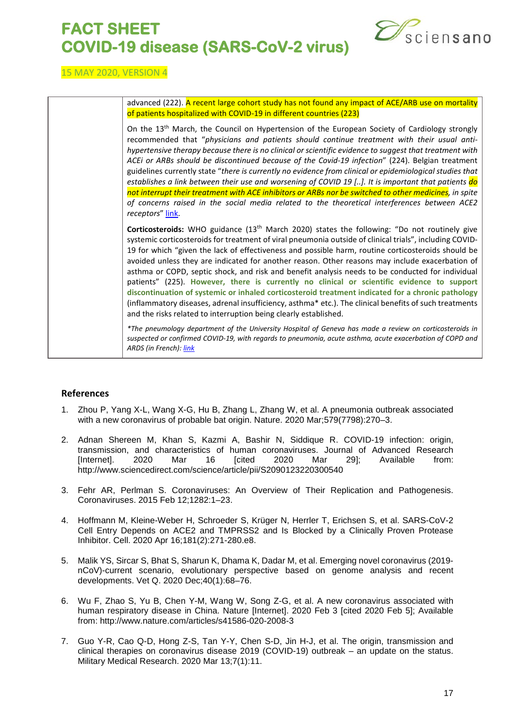

#### 15 MAY 2020, VERSION 4

| advanced (222). A recent large cohort study has not found any impact of ACE/ARB use on mortality                                                                                                                                                                                                                                                                                                                                                                                                                                                                                                                                                                                                                                                                                                                                                                                                                  |
|-------------------------------------------------------------------------------------------------------------------------------------------------------------------------------------------------------------------------------------------------------------------------------------------------------------------------------------------------------------------------------------------------------------------------------------------------------------------------------------------------------------------------------------------------------------------------------------------------------------------------------------------------------------------------------------------------------------------------------------------------------------------------------------------------------------------------------------------------------------------------------------------------------------------|
| of patients hospitalized with COVID-19 in different countries (223)                                                                                                                                                                                                                                                                                                                                                                                                                                                                                                                                                                                                                                                                                                                                                                                                                                               |
| On the 13 <sup>th</sup> March, the Council on Hypertension of the European Society of Cardiology strongly<br>recommended that "physicians and patients should continue treatment with their usual anti-<br>hypertensive therapy because there is no clinical or scientific evidence to suggest that treatment with<br>ACEI or ARBs should be discontinued because of the Covid-19 infection" (224). Belgian treatment<br>guidelines currently state "there is currently no evidence from clinical or epidemiological studies that<br>establishes a link between their use and worsening of COVID 19 []. It is important that patients do<br>not interrupt their treatment with ACE inhibitors or ARBs nor be switched to other medicines, in spite<br>of concerns raised in the social media related to the theoretical interferences between ACE2<br>receptors" link.                                            |
| Corticosteroids: WHO guidance (13 <sup>th</sup> March 2020) states the following: "Do not routinely give<br>systemic corticosteroids for treatment of viral pneumonia outside of clinical trials", including COVID-<br>19 for which "given the lack of effectiveness and possible harm, routine corticosteroids should be<br>avoided unless they are indicated for another reason. Other reasons may include exacerbation of<br>asthma or COPD, septic shock, and risk and benefit analysis needs to be conducted for individual<br>patients" (225). However, there is currently no clinical or scientific evidence to support<br>discontinuation of systemic or inhaled corticosteroid treatment indicated for a chronic pathology<br>(inflammatory diseases, adrenal insufficiency, asthma* etc.). The clinical benefits of such treatments<br>and the risks related to interruption being clearly established. |
| *The pneumology department of the University Hospital of Geneva has made a review on corticosteroids in<br>suspected or confirmed COVID-19, with regards to pneumonia, acute asthma, acute exacerbation of COPD and<br>ARDS (in French): link                                                                                                                                                                                                                                                                                                                                                                                                                                                                                                                                                                                                                                                                     |

#### <span id="page-16-0"></span>**References**

- 1. Zhou P, Yang X-L, Wang X-G, Hu B, Zhang L, Zhang W, et al. A pneumonia outbreak associated with a new coronavirus of probable bat origin. Nature. 2020 Mar;579(7798):270–3.
- 2. Adnan Shereen M, Khan S, Kazmi A, Bashir N, Siddique R. COVID-19 infection: origin, transmission, and characteristics of human coronaviruses. Journal of Advanced Research<br>[Internet]. 2020 Mar 16 [cited 2020 Mar 29]; Available from: [Internet]. 2020 Mar 16 [cited 2020 Mar 29]; Available from: http://www.sciencedirect.com/science/article/pii/S2090123220300540
- 3. Fehr AR, Perlman S. Coronaviruses: An Overview of Their Replication and Pathogenesis. Coronaviruses. 2015 Feb 12;1282:1–23.
- 4. Hoffmann M, Kleine-Weber H, Schroeder S, Krüger N, Herrler T, Erichsen S, et al. SARS-CoV-2 Cell Entry Depends on ACE2 and TMPRSS2 and Is Blocked by a Clinically Proven Protease Inhibitor. Cell. 2020 Apr 16;181(2):271-280.e8.
- 5. Malik YS, Sircar S, Bhat S, Sharun K, Dhama K, Dadar M, et al. Emerging novel coronavirus (2019 nCoV)-current scenario, evolutionary perspective based on genome analysis and recent developments. Vet Q. 2020 Dec;40(1):68–76.
- 6. Wu F, Zhao S, Yu B, Chen Y-M, Wang W, Song Z-G, et al. A new coronavirus associated with human respiratory disease in China. Nature [Internet]. 2020 Feb 3 [cited 2020 Feb 5]; Available from: http://www.nature.com/articles/s41586-020-2008-3
- 7. Guo Y-R, Cao Q-D, Hong Z-S, Tan Y-Y, Chen S-D, Jin H-J, et al. The origin, transmission and clinical therapies on coronavirus disease 2019 (COVID-19) outbreak – an update on the status. Military Medical Research. 2020 Mar 13;7(1):11.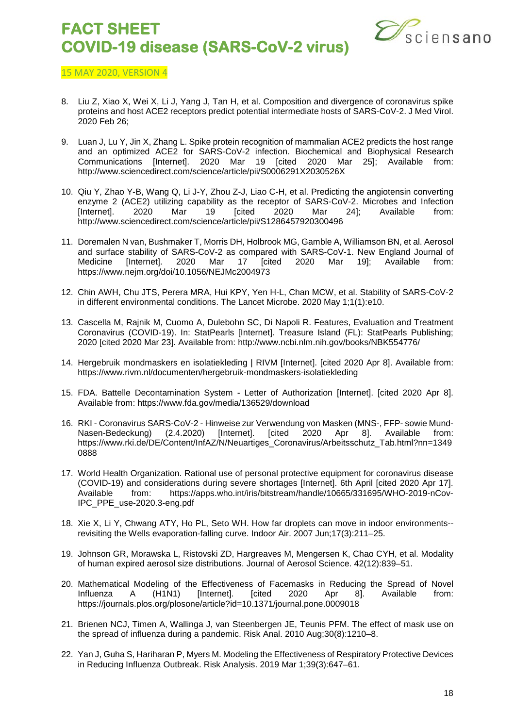

- 8. Liu Z, Xiao X, Wei X, Li J, Yang J, Tan H, et al. Composition and divergence of coronavirus spike proteins and host ACE2 receptors predict potential intermediate hosts of SARS-CoV-2. J Med Virol. 2020 Feb 26;
- 9. Luan J, Lu Y, Jin X, Zhang L. Spike protein recognition of mammalian ACE2 predicts the host range and an optimized ACE2 for SARS-CoV-2 infection. Biochemical and Biophysical Research Communications [Internet]. 2020 Mar 19 [cited 2020 Mar 25]; Available from: http://www.sciencedirect.com/science/article/pii/S0006291X2030526X
- 10. Qiu Y, Zhao Y-B, Wang Q, Li J-Y, Zhou Z-J, Liao C-H, et al. Predicting the angiotensin converting enzyme 2 (ACE2) utilizing capability as the receptor of SARS-CoV-2. Microbes and Infection<br>[Internet]. 2020 Mar 19 [cited 2020 Mar 24]; Available from: [Internet]. 2020 Mar 19 [cited 2020 Mar 24]; Available from: http://www.sciencedirect.com/science/article/pii/S1286457920300496
- 11. Doremalen N van, Bushmaker T, Morris DH, Holbrook MG, Gamble A, Williamson BN, et al. Aerosol and surface stability of SARS-CoV-2 as compared with SARS-CoV-1. New England Journal of Medicine [Internet]. 2020 Mar 17 [cited 2020 Mar 19]; Available from: https://www.nejm.org/doi/10.1056/NEJMc2004973
- 12. Chin AWH, Chu JTS, Perera MRA, Hui KPY, Yen H-L, Chan MCW, et al. Stability of SARS-CoV-2 in different environmental conditions. The Lancet Microbe. 2020 May 1;1(1):e10.
- 13. Cascella M, Rajnik M, Cuomo A, Dulebohn SC, Di Napoli R. Features, Evaluation and Treatment Coronavirus (COVID-19). In: StatPearls [Internet]. Treasure Island (FL): StatPearls Publishing; 2020 [cited 2020 Mar 23]. Available from: http://www.ncbi.nlm.nih.gov/books/NBK554776/
- 14. Hergebruik mondmaskers en isolatiekleding | RIVM [Internet]. [cited 2020 Apr 8]. Available from: https://www.rivm.nl/documenten/hergebruik-mondmaskers-isolatiekleding
- 15. FDA. Battelle Decontamination System Letter of Authorization [Internet]. [cited 2020 Apr 8]. Available from: https://www.fda.gov/media/136529/download
- 16. RKI Coronavirus SARS-CoV-2 Hinweise zur Verwendung von Masken (MNS-, FFP- sowie Mund-<br>Nasen-Bedeckung) (2.4.2020) [Internet]. [cited 2020 Apr 8]. Available from: Nasen-Bedeckung) (2.4.2020) [Internet]. [cited 2020 Apr 8]. Available from: https://www.rki.de/DE/Content/InfAZ/N/Neuartiges\_Coronavirus/Arbeitsschutz\_Tab.html?nn=1349 0888
- 17. World Health Organization. Rational use of personal protective equipment for coronavirus disease (COVID-19) and considerations during severe shortages [Internet]. 6th April [cited 2020 Apr 17]. Available from: https://apps.who.int/iris/bitstream/handle/10665/331695/WHO-2019-nCov-IPC\_PPE\_use-2020.3-eng.pdf
- 18. Xie X, Li Y, Chwang ATY, Ho PL, Seto WH. How far droplets can move in indoor environments- revisiting the Wells evaporation-falling curve. Indoor Air. 2007 Jun;17(3):211–25.
- 19. Johnson GR, Morawska L, Ristovski ZD, Hargreaves M, Mengersen K, Chao CYH, et al. Modality of human expired aerosol size distributions. Journal of Aerosol Science. 42(12):839–51.
- 20. Mathematical Modeling of the Effectiveness of Facemasks in Reducing the Spread of Novel Influenza A (H1N1) [Internet]. [cited 2020 Apr 8]. Available from: https://journals.plos.org/plosone/article?id=10.1371/journal.pone.0009018
- 21. Brienen NCJ, Timen A, Wallinga J, van Steenbergen JE, Teunis PFM. The effect of mask use on the spread of influenza during a pandemic. Risk Anal. 2010 Aug;30(8):1210–8.
- 22. Yan J, Guha S, Hariharan P, Myers M. Modeling the Effectiveness of Respiratory Protective Devices in Reducing Influenza Outbreak. Risk Analysis. 2019 Mar 1;39(3):647–61.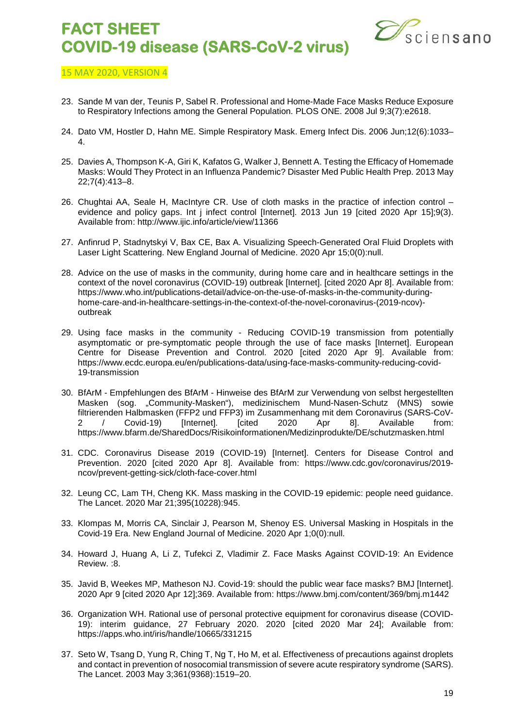

- 23. Sande M van der, Teunis P, Sabel R. Professional and Home-Made Face Masks Reduce Exposure to Respiratory Infections among the General Population. PLOS ONE. 2008 Jul 9;3(7):e2618.
- 24. Dato VM, Hostler D, Hahn ME. Simple Respiratory Mask. Emerg Infect Dis. 2006 Jun;12(6):1033– 4.
- 25. Davies A, Thompson K-A, Giri K, Kafatos G, Walker J, Bennett A. Testing the Efficacy of Homemade Masks: Would They Protect in an Influenza Pandemic? Disaster Med Public Health Prep. 2013 May 22;7(4):413–8.
- 26. Chughtai AA, Seale H, MacIntyre CR. Use of cloth masks in the practice of infection control evidence and policy gaps. Int j infect control [Internet]. 2013 Jun 19 [cited 2020 Apr 15];9(3). Available from: http://www.ijic.info/article/view/11366
- 27. Anfinrud P, Stadnytskyi V, Bax CE, Bax A. Visualizing Speech-Generated Oral Fluid Droplets with Laser Light Scattering. New England Journal of Medicine. 2020 Apr 15;0(0):null.
- 28. Advice on the use of masks in the community, during home care and in healthcare settings in the context of the novel coronavirus (COVID-19) outbreak [Internet]. [cited 2020 Apr 8]. Available from: https://www.who.int/publications-detail/advice-on-the-use-of-masks-in-the-community-duringhome-care-and-in-healthcare-settings-in-the-context-of-the-novel-coronavirus-(2019-ncov) outbreak
- 29. Using face masks in the community Reducing COVID-19 transmission from potentially asymptomatic or pre-symptomatic people through the use of face masks [Internet]. European Centre for Disease Prevention and Control. 2020 [cited 2020 Apr 9]. Available from: https://www.ecdc.europa.eu/en/publications-data/using-face-masks-community-reducing-covid-19-transmission
- 30. BfArM Empfehlungen des BfArM Hinweise des BfArM zur Verwendung von selbst hergestellten Masken (sog. "Community-Masken"), medizinischem Mund-Nasen-Schutz (MNS) sowie filtrierenden Halbmasken (FFP2 und FFP3) im Zusammenhang mit dem Coronavirus (SARS-CoV-2 / Covid-19) [Internet]. [cited 2020 Apr 8]. Available from: https://www.bfarm.de/SharedDocs/Risikoinformationen/Medizinprodukte/DE/schutzmasken.html
- 31. CDC. Coronavirus Disease 2019 (COVID-19) [Internet]. Centers for Disease Control and Prevention. 2020 [cited 2020 Apr 8]. Available from: https://www.cdc.gov/coronavirus/2019 ncov/prevent-getting-sick/cloth-face-cover.html
- 32. Leung CC, Lam TH, Cheng KK. Mass masking in the COVID-19 epidemic: people need guidance. The Lancet. 2020 Mar 21;395(10228):945.
- 33. Klompas M, Morris CA, Sinclair J, Pearson M, Shenoy ES. Universal Masking in Hospitals in the Covid-19 Era. New England Journal of Medicine. 2020 Apr 1;0(0):null.
- 34. Howard J, Huang A, Li Z, Tufekci Z, Vladimir Z. Face Masks Against COVID-19: An Evidence Review. :8.
- 35. Javid B, Weekes MP, Matheson NJ. Covid-19: should the public wear face masks? BMJ [Internet]. 2020 Apr 9 [cited 2020 Apr 12];369. Available from: https://www.bmj.com/content/369/bmj.m1442
- 36. Organization WH. Rational use of personal protective equipment for coronavirus disease (COVID-19): interim guidance, 27 February 2020. 2020 [cited 2020 Mar 24]; Available from: https://apps.who.int/iris/handle/10665/331215
- 37. Seto W, Tsang D, Yung R, Ching T, Ng T, Ho M, et al. Effectiveness of precautions against droplets and contact in prevention of nosocomial transmission of severe acute respiratory syndrome (SARS). The Lancet. 2003 May 3;361(9368):1519–20.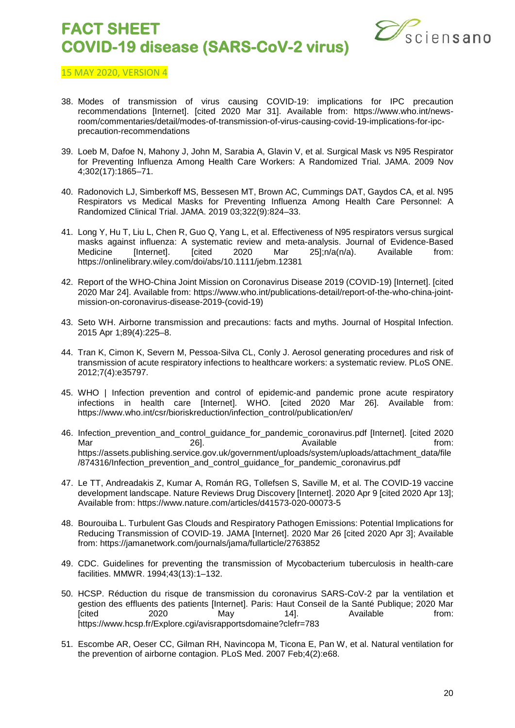

- 38. Modes of transmission of virus causing COVID-19: implications for IPC precaution recommendations [Internet]. [cited 2020 Mar 31]. Available from: https://www.who.int/newsroom/commentaries/detail/modes-of-transmission-of-virus-causing-covid-19-implications-for-ipcprecaution-recommendations
- 39. Loeb M, Dafoe N, Mahony J, John M, Sarabia A, Glavin V, et al. Surgical Mask vs N95 Respirator for Preventing Influenza Among Health Care Workers: A Randomized Trial. JAMA. 2009 Nov 4;302(17):1865–71.
- 40. Radonovich LJ, Simberkoff MS, Bessesen MT, Brown AC, Cummings DAT, Gaydos CA, et al. N95 Respirators vs Medical Masks for Preventing Influenza Among Health Care Personnel: A Randomized Clinical Trial. JAMA. 2019 03;322(9):824–33.
- 41. Long Y, Hu T, Liu L, Chen R, Guo Q, Yang L, et al. Effectiveness of N95 respirators versus surgical masks against influenza: A systematic review and meta-analysis. Journal of Evidence-Based Medicine [Internet]. [cited 2020 Mar 25];n/a(n/a). Available from: https://onlinelibrary.wiley.com/doi/abs/10.1111/jebm.12381
- 42. Report of the WHO-China Joint Mission on Coronavirus Disease 2019 (COVID-19) [Internet]. [cited 2020 Mar 24]. Available from: https://www.who.int/publications-detail/report-of-the-who-china-jointmission-on-coronavirus-disease-2019-(covid-19)
- 43. Seto WH. Airborne transmission and precautions: facts and myths. Journal of Hospital Infection. 2015 Apr 1;89(4):225–8.
- 44. Tran K, Cimon K, Severn M, Pessoa-Silva CL, Conly J. Aerosol generating procedures and risk of transmission of acute respiratory infections to healthcare workers: a systematic review. PLoS ONE. 2012;7(4):e35797.
- 45. WHO | Infection prevention and control of epidemic-and pandemic prone acute respiratory infections in health care [Internet]. WHO. [cited 2020 Mar 26]. Available from: https://www.who.int/csr/bioriskreduction/infection\_control/publication/en/
- 46. Infection\_prevention\_and\_control\_guidance\_for\_pandemic\_coronavirus.pdf [Internet]. [cited 2020 Mar 26]. Available from: https://assets.publishing.service.gov.uk/government/uploads/system/uploads/attachment\_data/file /874316/Infection\_prevention\_and\_control\_guidance\_for\_pandemic\_coronavirus.pdf
- 47. Le TT, Andreadakis Z, Kumar A, Román RG, Tollefsen S, Saville M, et al. The COVID-19 vaccine development landscape. Nature Reviews Drug Discovery [Internet]. 2020 Apr 9 [cited 2020 Apr 13]; Available from: https://www.nature.com/articles/d41573-020-00073-5
- 48. Bourouiba L. Turbulent Gas Clouds and Respiratory Pathogen Emissions: Potential Implications for Reducing Transmission of COVID-19. JAMA [Internet]. 2020 Mar 26 [cited 2020 Apr 3]; Available from: https://jamanetwork.com/journals/jama/fullarticle/2763852
- 49. CDC. Guidelines for preventing the transmission of Mycobacterium tuberculosis in health-care facilities. MMWR. 1994;43(13):1–132.
- 50. HCSP. Réduction du risque de transmission du coronavirus SARS-CoV-2 par la ventilation et gestion des effluents des patients [Internet]. Paris: Haut Conseil de la Santé Publique; 2020 Mar [cited 2020 May 14]. Available from: https://www.hcsp.fr/Explore.cgi/avisrapportsdomaine?clefr=783
- 51. Escombe AR, Oeser CC, Gilman RH, Navincopa M, Ticona E, Pan W, et al. Natural ventilation for the prevention of airborne contagion. PLoS Med. 2007 Feb;4(2):e68.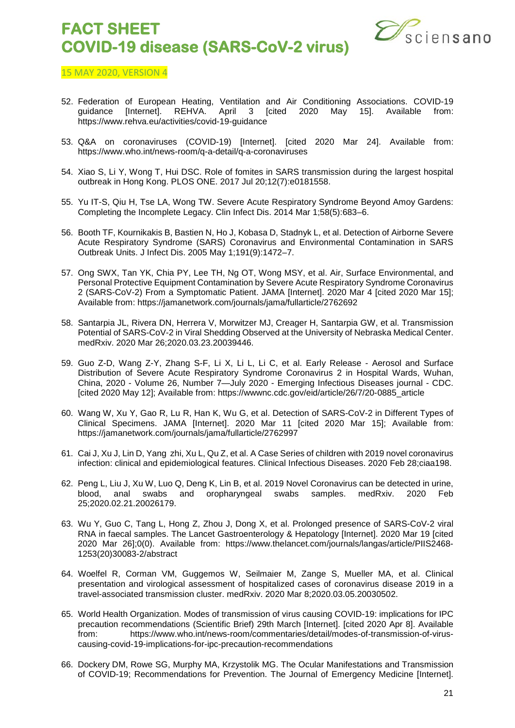

- 52. Federation of European Heating, Ventilation and Air Conditioning Associations. COVID-19 quidance [Internet]. REHVA. April 3 [cited 2020 May 15]. Available from: https://www.rehva.eu/activities/covid-19-guidance
- 53. Q&A on coronaviruses (COVID-19) [Internet]. [cited 2020 Mar 24]. Available from: https://www.who.int/news-room/q-a-detail/q-a-coronaviruses
- 54. Xiao S, Li Y, Wong T, Hui DSC. Role of fomites in SARS transmission during the largest hospital outbreak in Hong Kong. PLOS ONE. 2017 Jul 20;12(7):e0181558.
- 55. Yu IT-S, Qiu H, Tse LA, Wong TW. Severe Acute Respiratory Syndrome Beyond Amoy Gardens: Completing the Incomplete Legacy. Clin Infect Dis. 2014 Mar 1;58(5):683–6.
- 56. Booth TF, Kournikakis B, Bastien N, Ho J, Kobasa D, Stadnyk L, et al. Detection of Airborne Severe Acute Respiratory Syndrome (SARS) Coronavirus and Environmental Contamination in SARS Outbreak Units. J Infect Dis. 2005 May 1;191(9):1472–7.
- 57. Ong SWX, Tan YK, Chia PY, Lee TH, Ng OT, Wong MSY, et al. Air, Surface Environmental, and Personal Protective Equipment Contamination by Severe Acute Respiratory Syndrome Coronavirus 2 (SARS-CoV-2) From a Symptomatic Patient. JAMA [Internet]. 2020 Mar 4 [cited 2020 Mar 15]; Available from: https://jamanetwork.com/journals/jama/fullarticle/2762692
- 58. Santarpia JL, Rivera DN, Herrera V, Morwitzer MJ, Creager H, Santarpia GW, et al. Transmission Potential of SARS-CoV-2 in Viral Shedding Observed at the University of Nebraska Medical Center. medRxiv. 2020 Mar 26;2020.03.23.20039446.
- 59. Guo Z-D, Wang Z-Y, Zhang S-F, Li X, Li L, Li C, et al. Early Release Aerosol and Surface Distribution of Severe Acute Respiratory Syndrome Coronavirus 2 in Hospital Wards, Wuhan, China, 2020 - Volume 26, Number 7—July 2020 - Emerging Infectious Diseases journal - CDC. [cited 2020 May 12]; Available from: https://wwwnc.cdc.gov/eid/article/26/7/20-0885\_article
- 60. Wang W, Xu Y, Gao R, Lu R, Han K, Wu G, et al. Detection of SARS-CoV-2 in Different Types of Clinical Specimens. JAMA [Internet]. 2020 Mar 11 [cited 2020 Mar 15]; Available from: https://jamanetwork.com/journals/jama/fullarticle/2762997
- 61. Cai J, Xu J, Lin D, Yang zhi, Xu L, Qu Z, et al. A Case Series of children with 2019 novel coronavirus infection: clinical and epidemiological features. Clinical Infectious Diseases. 2020 Feb 28;ciaa198.
- 62. Peng L, Liu J, Xu W, Luo Q, Deng K, Lin B, et al. 2019 Novel Coronavirus can be detected in urine, blood, anal swabs and oropharyngeal swabs samples. medRxiv. 2020 Feb 25;2020.02.21.20026179.
- 63. Wu Y, Guo C, Tang L, Hong Z, Zhou J, Dong X, et al. Prolonged presence of SARS-CoV-2 viral RNA in faecal samples. The Lancet Gastroenterology & Hepatology [Internet]. 2020 Mar 19 [cited 2020 Mar 26];0(0). Available from: https://www.thelancet.com/journals/langas/article/PIIS2468- 1253(20)30083-2/abstract
- 64. Woelfel R, Corman VM, Guggemos W, Seilmaier M, Zange S, Mueller MA, et al. Clinical presentation and virological assessment of hospitalized cases of coronavirus disease 2019 in a travel-associated transmission cluster. medRxiv. 2020 Mar 8;2020.03.05.20030502.
- 65. World Health Organization. Modes of transmission of virus causing COVID-19: implications for IPC precaution recommendations (Scientific Brief) 29th March [Internet]. [cited 2020 Apr 8]. Available from: https://www.who.int/news-room/commentaries/detail/modes-of-transmission-of-viruscausing-covid-19-implications-for-ipc-precaution-recommendations
- 66. Dockery DM, Rowe SG, Murphy MA, Krzystolik MG. The Ocular Manifestations and Transmission of COVID-19; Recommendations for Prevention. The Journal of Emergency Medicine [Internet].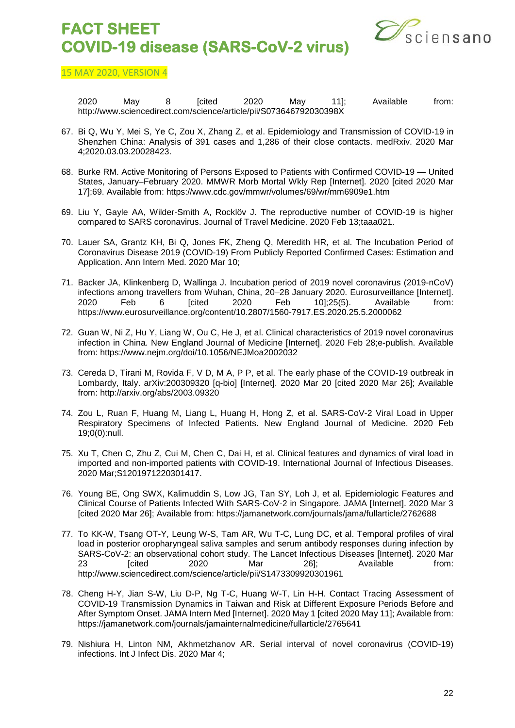

15 MAY 2020, VERSION 4

2020 May 8 [cited 2020 May 11]; Available from: http://www.sciencedirect.com/science/article/pii/S073646792030398X

- 67. Bi Q, Wu Y, Mei S, Ye C, Zou X, Zhang Z, et al. Epidemiology and Transmission of COVID-19 in Shenzhen China: Analysis of 391 cases and 1,286 of their close contacts. medRxiv. 2020 Mar 4;2020.03.03.20028423.
- 68. Burke RM. Active Monitoring of Persons Exposed to Patients with Confirmed COVID-19 United States, January–February 2020. MMWR Morb Mortal Wkly Rep [Internet]. 2020 [cited 2020 Mar 17];69. Available from: https://www.cdc.gov/mmwr/volumes/69/wr/mm6909e1.htm
- 69. Liu Y, Gayle AA, Wilder-Smith A, Rocklöv J. The reproductive number of COVID-19 is higher compared to SARS coronavirus. Journal of Travel Medicine. 2020 Feb 13;taaa021.
- 70. Lauer SA, Grantz KH, Bi Q, Jones FK, Zheng Q, Meredith HR, et al. The Incubation Period of Coronavirus Disease 2019 (COVID-19) From Publicly Reported Confirmed Cases: Estimation and Application. Ann Intern Med. 2020 Mar 10;
- 71. Backer JA, Klinkenberg D, Wallinga J. Incubation period of 2019 novel coronavirus (2019-nCoV) infections among travellers from Wuhan, China, 20–28 January 2020. Eurosurveillance [Internet].<br>2020 Feb 6 [cited 2020 Feb 10];25(5). Available from: 2020 Feb 6 [cited 2020 Feb 10];25(5). Available from: https://www.eurosurveillance.org/content/10.2807/1560-7917.ES.2020.25.5.2000062
- 72. Guan W, Ni Z, Hu Y, Liang W, Ou C, He J, et al. Clinical characteristics of 2019 novel coronavirus infection in China. New England Journal of Medicine [Internet]. 2020 Feb 28;e-publish. Available from: https://www.nejm.org/doi/10.1056/NEJMoa2002032
- 73. Cereda D, Tirani M, Rovida F, V D, M A, P P, et al. The early phase of the COVID-19 outbreak in Lombardy, Italy. arXiv:200309320 [q-bio] [Internet]. 2020 Mar 20 [cited 2020 Mar 26]; Available from: http://arxiv.org/abs/2003.09320
- 74. Zou L, Ruan F, Huang M, Liang L, Huang H, Hong Z, et al. SARS-CoV-2 Viral Load in Upper Respiratory Specimens of Infected Patients. New England Journal of Medicine. 2020 Feb 19;0(0):null.
- 75. Xu T, Chen C, Zhu Z, Cui M, Chen C, Dai H, et al. Clinical features and dynamics of viral load in imported and non-imported patients with COVID-19. International Journal of Infectious Diseases. 2020 Mar;S1201971220301417.
- 76. Young BE, Ong SWX, Kalimuddin S, Low JG, Tan SY, Loh J, et al. Epidemiologic Features and Clinical Course of Patients Infected With SARS-CoV-2 in Singapore. JAMA [Internet]. 2020 Mar 3 [cited 2020 Mar 26]; Available from: https://jamanetwork.com/journals/jama/fullarticle/2762688
- 77. To KK-W, Tsang OT-Y, Leung W-S, Tam AR, Wu T-C, Lung DC, et al. Temporal profiles of viral load in posterior oropharyngeal saliva samples and serum antibody responses during infection by SARS-CoV-2: an observational cohort study. The Lancet Infectious Diseases [Internet]. 2020 Mar 23 [cited 2020 Mar 26]; Available from: http://www.sciencedirect.com/science/article/pii/S1473309920301961
- 78. Cheng H-Y, Jian S-W, Liu D-P, Ng T-C, Huang W-T, Lin H-H. Contact Tracing Assessment of COVID-19 Transmission Dynamics in Taiwan and Risk at Different Exposure Periods Before and After Symptom Onset. JAMA Intern Med [Internet]. 2020 May 1 [cited 2020 May 11]; Available from: https://jamanetwork.com/journals/jamainternalmedicine/fullarticle/2765641
- 79. Nishiura H, Linton NM, Akhmetzhanov AR. Serial interval of novel coronavirus (COVID-19) infections. Int J Infect Dis. 2020 Mar 4;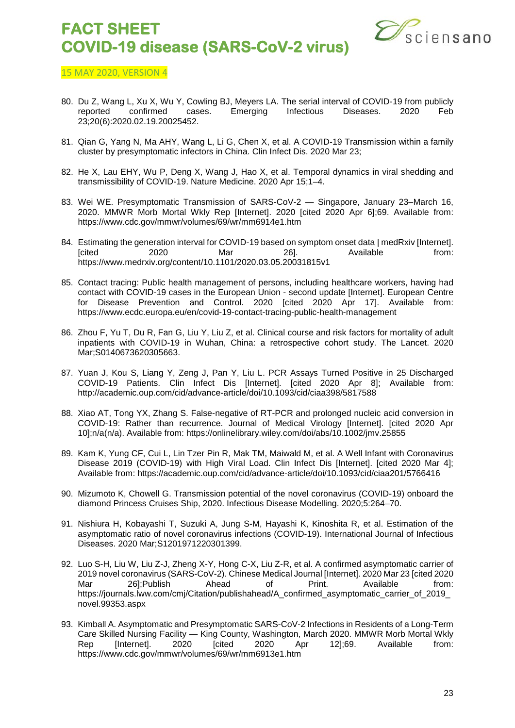

- 80. Du Z, Wang L, Xu X, Wu Y, Cowling BJ, Meyers LA. The serial interval of COVID-19 from publicly reported confirmed cases. Emerging Infectious Diseases. 2020 Feb reported confirmed cases. Emerging Infectious Diseases. 2020 Feb 23;20(6):2020.02.19.20025452.
- 81. Qian G, Yang N, Ma AHY, Wang L, Li G, Chen X, et al. A COVID-19 Transmission within a family cluster by presymptomatic infectors in China. Clin Infect Dis. 2020 Mar 23;
- 82. He X, Lau EHY, Wu P, Deng X, Wang J, Hao X, et al. Temporal dynamics in viral shedding and transmissibility of COVID-19. Nature Medicine. 2020 Apr 15;1–4.
- 83. Wei WE. Presymptomatic Transmission of SARS-CoV-2 Singapore, January 23–March 16, 2020. MMWR Morb Mortal Wkly Rep [Internet]. 2020 [cited 2020 Apr 6];69. Available from: https://www.cdc.gov/mmwr/volumes/69/wr/mm6914e1.htm
- 84. Estimating the generation interval for COVID-19 based on symptom onset data | medRxiv [Internet].<br>[from: 2020 Mar 261. Available from: [cited 2020 Mar 26]. Available from: https://www.medrxiv.org/content/10.1101/2020.03.05.20031815v1
- 85. Contact tracing: Public health management of persons, including healthcare workers, having had contact with COVID-19 cases in the European Union - second update [Internet]. European Centre for Disease Prevention and Control. 2020 [cited 2020 Apr 17]. Available from: https://www.ecdc.europa.eu/en/covid-19-contact-tracing-public-health-management
- 86. Zhou F, Yu T, Du R, Fan G, Liu Y, Liu Z, et al. Clinical course and risk factors for mortality of adult inpatients with COVID-19 in Wuhan, China: a retrospective cohort study. The Lancet. 2020 Mar;S0140673620305663.
- 87. Yuan J, Kou S, Liang Y, Zeng J, Pan Y, Liu L. PCR Assays Turned Positive in 25 Discharged COVID-19 Patients. Clin Infect Dis [Internet]. [cited 2020 Apr 8]; Available from: http://academic.oup.com/cid/advance-article/doi/10.1093/cid/ciaa398/5817588
- 88. Xiao AT, Tong YX, Zhang S. False-negative of RT-PCR and prolonged nucleic acid conversion in COVID-19: Rather than recurrence. Journal of Medical Virology [Internet]. [cited 2020 Apr 10];n/a(n/a). Available from: https://onlinelibrary.wiley.com/doi/abs/10.1002/jmv.25855
- 89. Kam K, Yung CF, Cui L, Lin Tzer Pin R, Mak TM, Maiwald M, et al. A Well Infant with Coronavirus Disease 2019 (COVID-19) with High Viral Load. Clin Infect Dis [Internet]. [cited 2020 Mar 4]: Available from: https://academic.oup.com/cid/advance-article/doi/10.1093/cid/ciaa201/5766416
- 90. Mizumoto K, Chowell G. Transmission potential of the novel coronavirus (COVID-19) onboard the diamond Princess Cruises Ship, 2020. Infectious Disease Modelling. 2020;5:264–70.
- 91. Nishiura H, Kobayashi T, Suzuki A, Jung S-M, Hayashi K, Kinoshita R, et al. Estimation of the asymptomatic ratio of novel coronavirus infections (COVID-19). International Journal of Infectious Diseases. 2020 Mar;S1201971220301399.
- 92. Luo S-H, Liu W, Liu Z-J, Zheng X-Y, Hong C-X, Liu Z-R, et al. A confirmed asymptomatic carrier of 2019 novel coronavirus (SARS-CoV-2). Chinese Medical Journal [Internet]. 2020 Mar 23 [cited 2020 Mar 26];Publish Ahead of Print. Available from: https://journals.lww.com/cmj/Citation/publishahead/A\_confirmed\_asymptomatic\_carrier\_of\_2019\_ novel.99353.aspx
- 93. Kimball A. Asymptomatic and Presymptomatic SARS-CoV-2 Infections in Residents of a Long-Term Care Skilled Nursing Facility — King County, Washington, March 2020. MMWR Morb Mortal Wkly<br>Rep [Internet]. 2020 [cited 2020 Apr 12];69. Available from: Rep [Internet]. 2020 [cited 2020 Apr 12];69. Available from: https://www.cdc.gov/mmwr/volumes/69/wr/mm6913e1.htm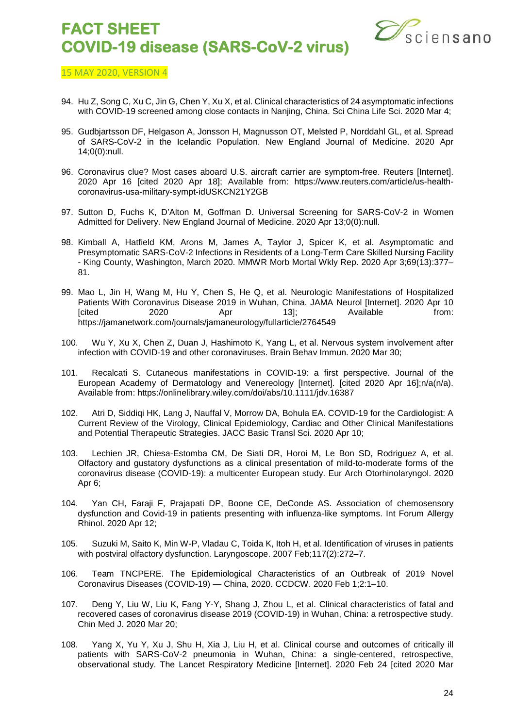

- 94. Hu Z, Song C, Xu C, Jin G, Chen Y, Xu X, et al. Clinical characteristics of 24 asymptomatic infections with COVID-19 screened among close contacts in Nanjing, China. Sci China Life Sci. 2020 Mar 4;
- 95. Gudbjartsson DF, Helgason A, Jonsson H, Magnusson OT, Melsted P, Norddahl GL, et al. Spread of SARS-CoV-2 in the Icelandic Population. New England Journal of Medicine. 2020 Apr 14;0(0):null.
- 96. Coronavirus clue? Most cases aboard U.S. aircraft carrier are symptom-free. Reuters [Internet]. 2020 Apr 16 [cited 2020 Apr 18]; Available from: https://www.reuters.com/article/us-healthcoronavirus-usa-military-sympt-idUSKCN21Y2GB
- 97. Sutton D, Fuchs K, D'Alton M, Goffman D. Universal Screening for SARS-CoV-2 in Women Admitted for Delivery. New England Journal of Medicine. 2020 Apr 13;0(0):null.
- 98. Kimball A, Hatfield KM, Arons M, James A, Taylor J, Spicer K, et al. Asymptomatic and Presymptomatic SARS-CoV-2 Infections in Residents of a Long-Term Care Skilled Nursing Facility - King County, Washington, March 2020. MMWR Morb Mortal Wkly Rep. 2020 Apr 3;69(13):377– 81.
- 99. Mao L, Jin H, Wang M, Hu Y, Chen S, He Q, et al. Neurologic Manifestations of Hospitalized Patients With Coronavirus Disease 2019 in Wuhan, China. JAMA Neurol [Internet]. 2020 Apr 10 [cited 2020 Apr 13]; Available from: https://jamanetwork.com/journals/jamaneurology/fullarticle/2764549
- 100. Wu Y, Xu X, Chen Z, Duan J, Hashimoto K, Yang L, et al. Nervous system involvement after infection with COVID-19 and other coronaviruses. Brain Behav Immun. 2020 Mar 30;
- 101. Recalcati S. Cutaneous manifestations in COVID-19: a first perspective. Journal of the European Academy of Dermatology and Venereology [Internet]. [cited 2020 Apr 16];n/a(n/a). Available from: https://onlinelibrary.wiley.com/doi/abs/10.1111/jdv.16387
- 102. Atri D, Siddiqi HK, Lang J, Nauffal V, Morrow DA, Bohula EA. COVID-19 for the Cardiologist: A Current Review of the Virology, Clinical Epidemiology, Cardiac and Other Clinical Manifestations and Potential Therapeutic Strategies. JACC Basic Transl Sci. 2020 Apr 10;
- 103. Lechien JR, Chiesa-Estomba CM, De Siati DR, Horoi M, Le Bon SD, Rodriguez A, et al. Olfactory and gustatory dysfunctions as a clinical presentation of mild-to-moderate forms of the coronavirus disease (COVID-19): a multicenter European study. Eur Arch Otorhinolaryngol. 2020 Apr 6;
- 104. Yan CH, Faraji F, Prajapati DP, Boone CE, DeConde AS. Association of chemosensory dysfunction and Covid-19 in patients presenting with influenza-like symptoms. Int Forum Allergy Rhinol. 2020 Apr 12;
- 105. Suzuki M, Saito K, Min W-P, Vladau C, Toida K, Itoh H, et al. Identification of viruses in patients with postviral olfactory dysfunction. Laryngoscope. 2007 Feb: 117(2): 272-7.
- 106. Team TNCPERE. The Epidemiological Characteristics of an Outbreak of 2019 Novel Coronavirus Diseases (COVID-19) — China, 2020. CCDCW. 2020 Feb 1;2:1–10.
- 107. Deng Y, Liu W, Liu K, Fang Y-Y, Shang J, Zhou L, et al. Clinical characteristics of fatal and recovered cases of coronavirus disease 2019 (COVID-19) in Wuhan, China: a retrospective study. Chin Med J. 2020 Mar 20;
- 108. Yang X, Yu Y, Xu J, Shu H, Xia J, Liu H, et al. Clinical course and outcomes of critically ill patients with SARS-CoV-2 pneumonia in Wuhan, China: a single-centered, retrospective, observational study. The Lancet Respiratory Medicine [Internet]. 2020 Feb 24 [cited 2020 Mar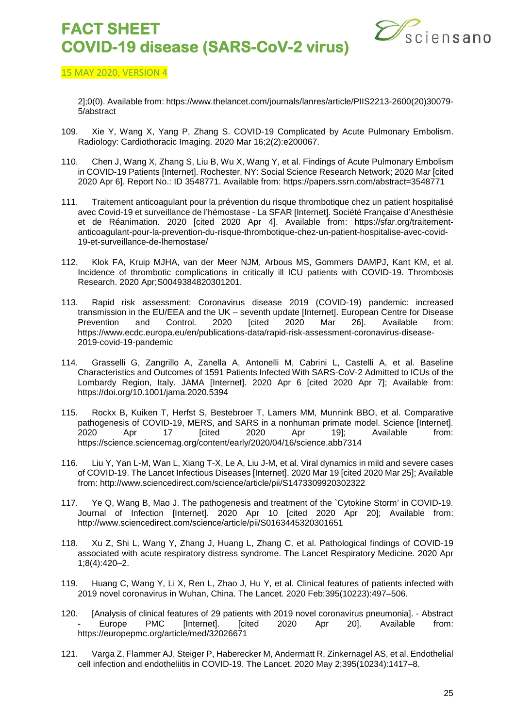

#### 15 MAY 2020, VERSION 4

2];0(0). Available from: https://www.thelancet.com/journals/lanres/article/PIIS2213-2600(20)30079- 5/abstract

- 109. Xie Y, Wang X, Yang P, Zhang S. COVID-19 Complicated by Acute Pulmonary Embolism. Radiology: Cardiothoracic Imaging. 2020 Mar 16;2(2):e200067.
- 110. Chen J, Wang X, Zhang S, Liu B, Wu X, Wang Y, et al. Findings of Acute Pulmonary Embolism in COVID-19 Patients [Internet]. Rochester, NY: Social Science Research Network; 2020 Mar [cited 2020 Apr 6]. Report No.: ID 3548771. Available from: https://papers.ssrn.com/abstract=3548771
- 111. Traitement anticoagulant pour la prévention du risque thrombotique chez un patient hospitalisé avec Covid-19 et surveillance de l'hémostase - La SFAR [Internet]. Société Française d'Anesthésie et de Réanimation. 2020 [cited 2020 Apr 4]. Available from: https://sfar.org/traitementanticoagulant-pour-la-prevention-du-risque-thrombotique-chez-un-patient-hospitalise-avec-covid-19-et-surveillance-de-lhemostase/
- 112. Klok FA, Kruip MJHA, van der Meer NJM, Arbous MS, Gommers DAMPJ, Kant KM, et al. Incidence of thrombotic complications in critically ill ICU patients with COVID-19. Thrombosis Research. 2020 Apr;S0049384820301201.
- 113. Rapid risk assessment: Coronavirus disease 2019 (COVID-19) pandemic: increased transmission in the EU/EEA and the UK – seventh update [Internet]. European Centre for Disease Prevention and Control. 2020 [cited 2020 Mar 26]. Available from: https://www.ecdc.europa.eu/en/publications-data/rapid-risk-assessment-coronavirus-disease-2019-covid-19-pandemic
- 114. Grasselli G, Zangrillo A, Zanella A, Antonelli M, Cabrini L, Castelli A, et al. Baseline Characteristics and Outcomes of 1591 Patients Infected With SARS-CoV-2 Admitted to ICUs of the Lombardy Region, Italy. JAMA [Internet]. 2020 Apr 6 [cited 2020 Apr 7]; Available from: https://doi.org/10.1001/jama.2020.5394
- 115. Rockx B, Kuiken T, Herfst S, Bestebroer T, Lamers MM, Munnink BBO, et al. Comparative pathogenesis of COVID-19, MERS, and SARS in a nonhuman primate model. Science [Internet].<br>2020 Apr 19]; Available from: 2020 Apr 17 [cited 2020 Apr 19]; Available from: https://science.sciencemag.org/content/early/2020/04/16/science.abb7314
- 116. Liu Y, Yan L-M, Wan L, Xiang T-X, Le A, Liu J-M, et al. Viral dynamics in mild and severe cases of COVID-19. The Lancet Infectious Diseases [Internet]. 2020 Mar 19 [cited 2020 Mar 25]; Available from: http://www.sciencedirect.com/science/article/pii/S1473309920302322
- 117. Ye Q, Wang B, Mao J. The pathogenesis and treatment of the `Cytokine Storm' in COVID-19. Journal of Infection [Internet]. 2020 Apr 10 [cited 2020 Apr 20]; Available from: http://www.sciencedirect.com/science/article/pii/S0163445320301651
- 118. Xu Z, Shi L, Wang Y, Zhang J, Huang L, Zhang C, et al. Pathological findings of COVID-19 associated with acute respiratory distress syndrome. The Lancet Respiratory Medicine. 2020 Apr 1;8(4):420–2.
- 119. Huang C, Wang Y, Li X, Ren L, Zhao J, Hu Y, et al. Clinical features of patients infected with 2019 novel coronavirus in Wuhan, China. The Lancet. 2020 Feb;395(10223):497–506.
- 120. [Analysis of clinical features of 29 patients with 2019 novel coronavirus pneumonia]. Abstract - Europe PMC [Internet]. [cited 2020 Apr 20]. Available from: https://europepmc.org/article/med/32026671
- 121. Varga Z, Flammer AJ, Steiger P, Haberecker M, Andermatt R, Zinkernagel AS, et al. Endothelial cell infection and endotheliitis in COVID-19. The Lancet. 2020 May 2;395(10234):1417–8.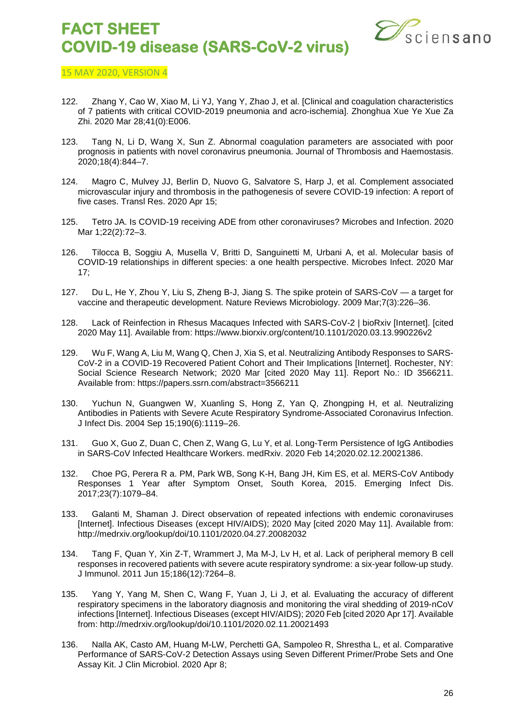

- 122. Zhang Y, Cao W, Xiao M, Li YJ, Yang Y, Zhao J, et al. [Clinical and coagulation characteristics of 7 patients with critical COVID-2019 pneumonia and acro-ischemia]. Zhonghua Xue Ye Xue Za Zhi. 2020 Mar 28;41(0):E006.
- 123. Tang N, Li D, Wang X, Sun Z. Abnormal coagulation parameters are associated with poor prognosis in patients with novel coronavirus pneumonia. Journal of Thrombosis and Haemostasis. 2020;18(4):844–7.
- 124. Magro C, Mulvey JJ, Berlin D, Nuovo G, Salvatore S, Harp J, et al. Complement associated microvascular injury and thrombosis in the pathogenesis of severe COVID-19 infection: A report of five cases. Transl Res. 2020 Apr 15;
- 125. Tetro JA. Is COVID-19 receiving ADE from other coronaviruses? Microbes and Infection. 2020 Mar 1;22(2):72–3.
- 126. Tilocca B, Soggiu A, Musella V, Britti D, Sanguinetti M, Urbani A, et al. Molecular basis of COVID-19 relationships in different species: a one health perspective. Microbes Infect. 2020 Mar 17;
- 127. Du L, He Y, Zhou Y, Liu S, Zheng B-J, Jiang S. The spike protein of SARS-CoV a target for vaccine and therapeutic development. Nature Reviews Microbiology. 2009 Mar;7(3):226–36.
- 128. Lack of Reinfection in Rhesus Macaques Infected with SARS-CoV-2 | bioRxiv [Internet]. [cited 2020 May 11]. Available from: https://www.biorxiv.org/content/10.1101/2020.03.13.990226v2
- 129. Wu F, Wang A, Liu M, Wang Q, Chen J, Xia S, et al. Neutralizing Antibody Responses to SARS-CoV-2 in a COVID-19 Recovered Patient Cohort and Their Implications [Internet]. Rochester, NY: Social Science Research Network; 2020 Mar [cited 2020 May 11]. Report No.: ID 3566211. Available from: https://papers.ssrn.com/abstract=3566211
- 130. Yuchun N, Guangwen W, Xuanling S, Hong Z, Yan Q, Zhongping H, et al. Neutralizing Antibodies in Patients with Severe Acute Respiratory Syndrome-Associated Coronavirus Infection. J Infect Dis. 2004 Sep 15;190(6):1119–26.
- 131. Guo X, Guo Z, Duan C, Chen Z, Wang G, Lu Y, et al. Long-Term Persistence of IgG Antibodies in SARS-CoV Infected Healthcare Workers. medRxiv. 2020 Feb 14;2020.02.12.20021386.
- 132. Choe PG, Perera R a. PM, Park WB, Song K-H, Bang JH, Kim ES, et al. MERS-CoV Antibody Responses 1 Year after Symptom Onset, South Korea, 2015. Emerging Infect Dis. 2017;23(7):1079–84.
- 133. Galanti M, Shaman J. Direct observation of repeated infections with endemic coronaviruses [Internet]. Infectious Diseases (except HIV/AIDS); 2020 May [cited 2020 May 11]. Available from: http://medrxiv.org/lookup/doi/10.1101/2020.04.27.20082032
- 134. Tang F, Quan Y, Xin Z-T, Wrammert J, Ma M-J, Lv H, et al. Lack of peripheral memory B cell responses in recovered patients with severe acute respiratory syndrome: a six-year follow-up study. J Immunol. 2011 Jun 15;186(12):7264–8.
- 135. Yang Y, Yang M, Shen C, Wang F, Yuan J, Li J, et al. Evaluating the accuracy of different respiratory specimens in the laboratory diagnosis and monitoring the viral shedding of 2019-nCoV infections [Internet]. Infectious Diseases (except HIV/AIDS); 2020 Feb [cited 2020 Apr 17]. Available from: http://medrxiv.org/lookup/doi/10.1101/2020.02.11.20021493
- 136. Nalla AK, Casto AM, Huang M-LW, Perchetti GA, Sampoleo R, Shrestha L, et al. Comparative Performance of SARS-CoV-2 Detection Assays using Seven Different Primer/Probe Sets and One Assay Kit. J Clin Microbiol. 2020 Apr 8;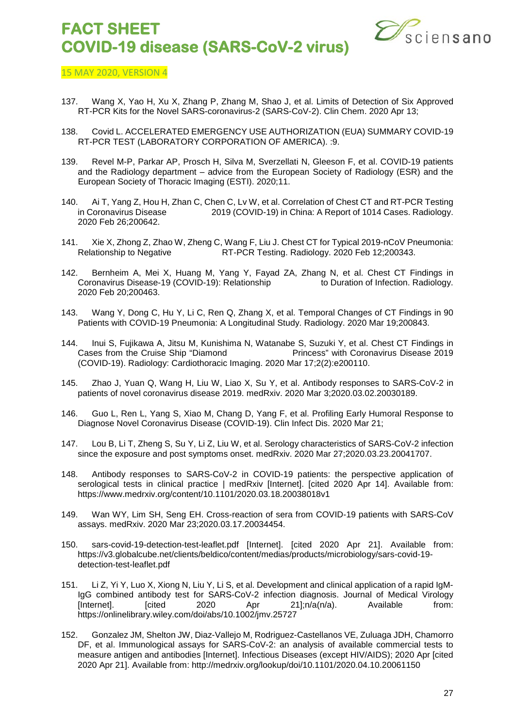

- 137. Wang X, Yao H, Xu X, Zhang P, Zhang M, Shao J, et al. Limits of Detection of Six Approved RT-PCR Kits for the Novel SARS-coronavirus-2 (SARS-CoV-2). Clin Chem. 2020 Apr 13;
- 138. Covid L. ACCELERATED EMERGENCY USE AUTHORIZATION (EUA) SUMMARY COVID-19 RT-PCR TEST (LABORATORY CORPORATION OF AMERICA). :9.
- 139. Revel M-P, Parkar AP, Prosch H, Silva M, Sverzellati N, Gleeson F, et al. COVID-19 patients and the Radiology department – advice from the European Society of Radiology (ESR) and the European Society of Thoracic Imaging (ESTI). 2020;11.
- 140. Ai T, Yang Z, Hou H, Zhan C, Chen C, Lv W, et al. Correlation of Chest CT and RT-PCR Testing<br>in Coronavirus Disease 2019 (COVID-19) in China: A Report of 1014 Cases. Radiology. 2019 (COVID-19) in China: A Report of 1014 Cases. Radiology. 2020 Feb 26;200642.
- 141. Xie X, Zhong Z, Zhao W, Zheng C, Wang F, Liu J. Chest CT for Typical 2019-nCoV Pneumonia: Relationship to Negative RT-PCR Testing. Radiology. 2020 Feb 12;200343.
- 142. Bernheim A, Mei X, Huang M, Yang Y, Fayad ZA, Zhang N, et al. Chest CT Findings in Coronavirus Disease-19 (COVID-19): Relationship to Duration of Infection. Radiology. 2020 Feb 20;200463.
- 143. Wang Y, Dong C, Hu Y, Li C, Ren Q, Zhang X, et al. Temporal Changes of CT Findings in 90 Patients with COVID-19 Pneumonia: A Longitudinal Study. Radiology. 2020 Mar 19;200843.
- 144. Inui S, Fujikawa A, Jitsu M, Kunishima N, Watanabe S, Suzuki Y, et al. Chest CT Findings in Princess" with Coronavirus Disease 2019 (COVID-19). Radiology: Cardiothoracic Imaging. 2020 Mar 17;2(2):e200110.
- 145. Zhao J, Yuan Q, Wang H, Liu W, Liao X, Su Y, et al. Antibody responses to SARS-CoV-2 in patients of novel coronavirus disease 2019. medRxiv. 2020 Mar 3;2020.03.02.20030189.
- 146. Guo L, Ren L, Yang S, Xiao M, Chang D, Yang F, et al. Profiling Early Humoral Response to Diagnose Novel Coronavirus Disease (COVID-19). Clin Infect Dis. 2020 Mar 21;
- 147. Lou B, Li T, Zheng S, Su Y, Li Z, Liu W, et al. Serology characteristics of SARS-CoV-2 infection since the exposure and post symptoms onset. medRxiv. 2020 Mar 27;2020.03.23.20041707.
- 148. Antibody responses to SARS-CoV-2 in COVID-19 patients: the perspective application of serological tests in clinical practice | medRxiv [Internet]. [cited 2020 Apr 14]. Available from: https://www.medrxiv.org/content/10.1101/2020.03.18.20038018v1
- 149. Wan WY, Lim SH, Seng EH. Cross-reaction of sera from COVID-19 patients with SARS-CoV assays. medRxiv. 2020 Mar 23;2020.03.17.20034454.
- 150. sars-covid-19-detection-test-leaflet.pdf [Internet]. [cited 2020 Apr 21]. Available from: https://v3.globalcube.net/clients/beldico/content/medias/products/microbiology/sars-covid-19 detection-test-leaflet.pdf
- 151. Li Z, Yi Y, Luo X, Xiong N, Liu Y, Li S, et al. Development and clinical application of a rapid IgM-IgG combined antibody test for SARS-CoV-2 infection diagnosis. Journal of Medical Virology [Internet].  $[{\text{cited}} 2020$  Apr  $21]$ ;n/a(n/a). Available from: https://onlinelibrary.wiley.com/doi/abs/10.1002/jmv.25727
- 152. Gonzalez JM, Shelton JW, Diaz-Vallejo M, Rodriguez-Castellanos VE, Zuluaga JDH, Chamorro DF, et al. Immunological assays for SARS-CoV-2: an analysis of available commercial tests to measure antigen and antibodies [Internet]. Infectious Diseases (except HIV/AIDS); 2020 Apr [cited 2020 Apr 21]. Available from: http://medrxiv.org/lookup/doi/10.1101/2020.04.10.20061150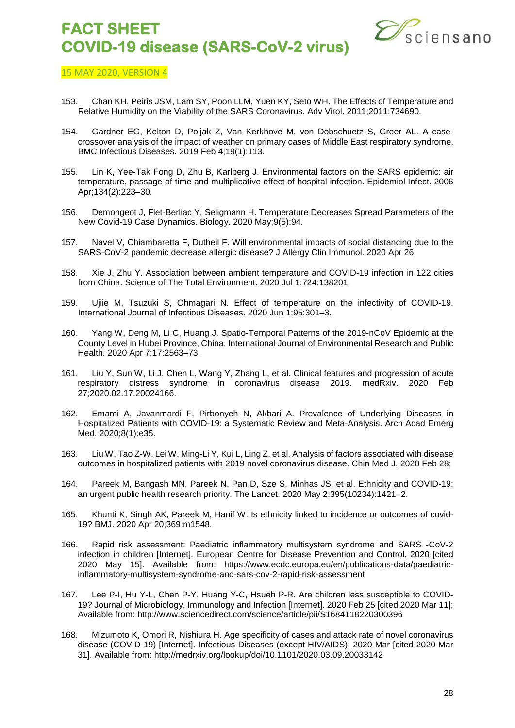

- 153. Chan KH, Peiris JSM, Lam SY, Poon LLM, Yuen KY, Seto WH. The Effects of Temperature and Relative Humidity on the Viability of the SARS Coronavirus. Adv Virol. 2011;2011:734690.
- 154. Gardner EG, Kelton D, Poljak Z, Van Kerkhove M, von Dobschuetz S, Greer AL. A casecrossover analysis of the impact of weather on primary cases of Middle East respiratory syndrome. BMC Infectious Diseases. 2019 Feb 4;19(1):113.
- 155. Lin K, Yee-Tak Fong D, Zhu B, Karlberg J. Environmental factors on the SARS epidemic: air temperature, passage of time and multiplicative effect of hospital infection. Epidemiol Infect. 2006 Apr;134(2):223–30.
- 156. Demongeot J, Flet-Berliac Y, Seligmann H. Temperature Decreases Spread Parameters of the New Covid-19 Case Dynamics. Biology. 2020 May;9(5):94.
- 157. Navel V, Chiambaretta F, Dutheil F. Will environmental impacts of social distancing due to the SARS-CoV-2 pandemic decrease allergic disease? J Allergy Clin Immunol. 2020 Apr 26;
- 158. Xie J, Zhu Y. Association between ambient temperature and COVID-19 infection in 122 cities from China. Science of The Total Environment. 2020 Jul 1;724:138201.
- 159. Ujiie M, Tsuzuki S, Ohmagari N. Effect of temperature on the infectivity of COVID-19. International Journal of Infectious Diseases. 2020 Jun 1;95:301–3.
- 160. Yang W, Deng M, Li C, Huang J. Spatio-Temporal Patterns of the 2019-nCoV Epidemic at the County Level in Hubei Province, China. International Journal of Environmental Research and Public Health. 2020 Apr 7;17:2563–73.
- 161. Liu Y, Sun W, Li J, Chen L, Wang Y, Zhang L, et al. Clinical features and progression of acute respiratory distress syndrome in coronavirus disease 2019. medRxiv. 2020 Feb 27;2020.02.17.20024166.
- 162. Emami A, Javanmardi F, Pirbonyeh N, Akbari A. Prevalence of Underlying Diseases in Hospitalized Patients with COVID-19: a Systematic Review and Meta-Analysis. Arch Acad Emerg Med. 2020;8(1):e35.
- 163. Liu W, Tao Z-W, Lei W, Ming-Li Y, Kui L, Ling Z, et al. Analysis of factors associated with disease outcomes in hospitalized patients with 2019 novel coronavirus disease. Chin Med J. 2020 Feb 28;
- 164. Pareek M, Bangash MN, Pareek N, Pan D, Sze S, Minhas JS, et al. Ethnicity and COVID-19: an urgent public health research priority. The Lancet. 2020 May 2;395(10234):1421–2.
- 165. Khunti K, Singh AK, Pareek M, Hanif W. Is ethnicity linked to incidence or outcomes of covid-19? BMJ. 2020 Apr 20;369:m1548.
- 166. Rapid risk assessment: Paediatric inflammatory multisystem syndrome and SARS -CoV-2 infection in children [Internet]. European Centre for Disease Prevention and Control. 2020 [cited 2020 May 15]. Available from: https://www.ecdc.europa.eu/en/publications-data/paediatricinflammatory-multisystem-syndrome-and-sars-cov-2-rapid-risk-assessment
- 167. Lee P-I, Hu Y-L, Chen P-Y, Huang Y-C, Hsueh P-R. Are children less susceptible to COVID-19? Journal of Microbiology, Immunology and Infection [Internet]. 2020 Feb 25 [cited 2020 Mar 11]; Available from: http://www.sciencedirect.com/science/article/pii/S1684118220300396
- 168. Mizumoto K, Omori R, Nishiura H. Age specificity of cases and attack rate of novel coronavirus disease (COVID-19) [Internet]. Infectious Diseases (except HIV/AIDS); 2020 Mar [cited 2020 Mar 31]. Available from: http://medrxiv.org/lookup/doi/10.1101/2020.03.09.20033142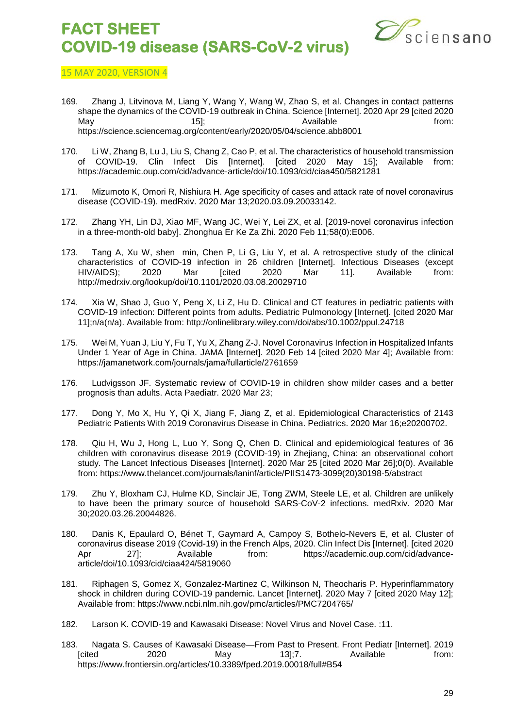

- 169. Zhang J, Litvinova M, Liang Y, Wang Y, Wang W, Zhao S, et al. Changes in contact patterns shape the dynamics of the COVID-19 outbreak in China. Science [Internet]. 2020 Apr 29 [cited 2020 May 15]; Available from: 15]; https://science.sciencemag.org/content/early/2020/05/04/science.abb8001
- 170. Li W, Zhang B, Lu J, Liu S, Chang Z, Cao P, et al. The characteristics of household transmission of COVID-19. Clin Infect Dis [Internet]. [cited 2020 May 15]; Available from: https://academic.oup.com/cid/advance-article/doi/10.1093/cid/ciaa450/5821281
- 171. Mizumoto K, Omori R, Nishiura H. Age specificity of cases and attack rate of novel coronavirus disease (COVID-19). medRxiv. 2020 Mar 13;2020.03.09.20033142.
- 172. Zhang YH, Lin DJ, Xiao MF, Wang JC, Wei Y, Lei ZX, et al. [2019-novel coronavirus infection in a three-month-old baby]. Zhonghua Er Ke Za Zhi. 2020 Feb 11;58(0):E006.
- 173. Tang A, Xu W, shen min, Chen P, Li G, Liu Y, et al. A retrospective study of the clinical characteristics of COVID-19 infection in 26 children [Internet]. Infectious Diseases (except<br>
HIV/AIDS): 2020 Mar Ford: 2020 Mar 11. Available from: HIV/AIDS); 2020 Mar [cited 2020 Mar 11]. Available from: http://medrxiv.org/lookup/doi/10.1101/2020.03.08.20029710
- 174. Xia W, Shao J, Guo Y, Peng X, Li Z, Hu D. Clinical and CT features in pediatric patients with COVID-19 infection: Different points from adults. Pediatric Pulmonology [Internet]. [cited 2020 Mar 11];n/a(n/a). Available from: http://onlinelibrary.wiley.com/doi/abs/10.1002/ppul.24718
- 175. Wei M, Yuan J, Liu Y, Fu T, Yu X, Zhang Z-J. Novel Coronavirus Infection in Hospitalized Infants Under 1 Year of Age in China. JAMA [Internet]. 2020 Feb 14 [cited 2020 Mar 4]; Available from: https://jamanetwork.com/journals/jama/fullarticle/2761659
- 176. Ludvigsson JF. Systematic review of COVID-19 in children show milder cases and a better prognosis than adults. Acta Paediatr. 2020 Mar 23;
- 177. Dong Y, Mo X, Hu Y, Qi X, Jiang F, Jiang Z, et al. Epidemiological Characteristics of 2143 Pediatric Patients With 2019 Coronavirus Disease in China. Pediatrics. 2020 Mar 16;e20200702.
- 178. Qiu H, Wu J, Hong L, Luo Y, Song Q, Chen D. Clinical and epidemiological features of 36 children with coronavirus disease 2019 (COVID-19) in Zhejiang, China: an observational cohort study. The Lancet Infectious Diseases [Internet]. 2020 Mar 25 [cited 2020 Mar 26];0(0). Available from: https://www.thelancet.com/journals/laninf/article/PIIS1473-3099(20)30198-5/abstract
- 179. Zhu Y, Bloxham CJ, Hulme KD, Sinclair JE, Tong ZWM, Steele LE, et al. Children are unlikely to have been the primary source of household SARS-CoV-2 infections. medRxiv. 2020 Mar 30;2020.03.26.20044826.
- 180. Danis K, Epaulard O, Bénet T, Gaymard A, Campoy S, Bothelo-Nevers E, et al. Cluster of coronavirus disease 2019 (Covid-19) in the French Alps, 2020. Clin Infect Dis [Internet]. [cited 2020 Apr 27]; Available from: https://academic.oup.com/cid/advancearticle/doi/10.1093/cid/ciaa424/5819060
- 181. Riphagen S, Gomez X, Gonzalez-Martinez C, Wilkinson N, Theocharis P. Hyperinflammatory shock in children during COVID-19 pandemic. Lancet [Internet]. 2020 May 7 [cited 2020 May 12]; Available from: https://www.ncbi.nlm.nih.gov/pmc/articles/PMC7204765/
- 182. Larson K. COVID-19 and Kawasaki Disease: Novel Virus and Novel Case. :11.
- 183. Nagata S. Causes of Kawasaki Disease—From Past to Present. Front Pediatr [Internet]. 2019 [cited 2020 May 13];7. Available from: https://www.frontiersin.org/articles/10.3389/fped.2019.00018/full#B54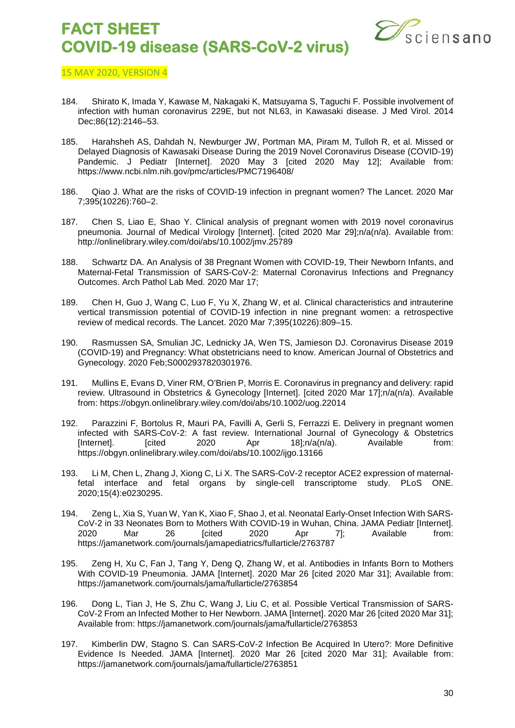

- 184. Shirato K, Imada Y, Kawase M, Nakagaki K, Matsuyama S, Taguchi F. Possible involvement of infection with human coronavirus 229E, but not NL63, in Kawasaki disease. J Med Virol. 2014 Dec;86(12):2146–53.
- 185. Harahsheh AS, Dahdah N, Newburger JW, Portman MA, Piram M, Tulloh R, et al. Missed or Delayed Diagnosis of Kawasaki Disease During the 2019 Novel Coronavirus Disease (COVID-19) Pandemic. J Pediatr [Internet]. 2020 May 3 [cited 2020 May 12]; Available from: https://www.ncbi.nlm.nih.gov/pmc/articles/PMC7196408/
- 186. Qiao J. What are the risks of COVID-19 infection in pregnant women? The Lancet. 2020 Mar 7;395(10226):760–2.
- 187. Chen S, Liao E, Shao Y. Clinical analysis of pregnant women with 2019 novel coronavirus pneumonia. Journal of Medical Virology [Internet]. [cited 2020 Mar 29];n/a(n/a). Available from: http://onlinelibrary.wiley.com/doi/abs/10.1002/jmv.25789
- 188. Schwartz DA. An Analysis of 38 Pregnant Women with COVID-19, Their Newborn Infants, and Maternal-Fetal Transmission of SARS-CoV-2: Maternal Coronavirus Infections and Pregnancy Outcomes. Arch Pathol Lab Med. 2020 Mar 17;
- 189. Chen H, Guo J, Wang C, Luo F, Yu X, Zhang W, et al. Clinical characteristics and intrauterine vertical transmission potential of COVID-19 infection in nine pregnant women: a retrospective review of medical records. The Lancet. 2020 Mar 7;395(10226):809–15.
- 190. Rasmussen SA, Smulian JC, Lednicky JA, Wen TS, Jamieson DJ. Coronavirus Disease 2019 (COVID-19) and Pregnancy: What obstetricians need to know. American Journal of Obstetrics and Gynecology. 2020 Feb;S0002937820301976.
- 191. Mullins E, Evans D, Viner RM, O'Brien P, Morris E. Coronavirus in pregnancy and delivery: rapid review. Ultrasound in Obstetrics & Gynecology [Internet]. [cited 2020 Mar 17];n/a(n/a). Available from: https://obgyn.onlinelibrary.wiley.com/doi/abs/10.1002/uog.22014
- 192. Parazzini F, Bortolus R, Mauri PA, Favilli A, Gerli S, Ferrazzi E. Delivery in pregnant women infected with SARS-CoV-2: A fast review. International Journal of Gynecology & Obstetrics<br>
[Internet]. [cited 2020 Apr 18]:n/a(n/a). Available from: [Internet].  $[{\text{cited}} 2020$  Apr  $18$ ];n/a(n/a). Available from: https://obgyn.onlinelibrary.wiley.com/doi/abs/10.1002/ijgo.13166
- 193. Li M, Chen L, Zhang J, Xiong C, Li X. The SARS-CoV-2 receptor ACE2 expression of maternalfetal interface and fetal organs by single-cell transcriptome study. PLoS ONE. 2020;15(4):e0230295.
- 194. Zeng L, Xia S, Yuan W, Yan K, Xiao F, Shao J, et al. Neonatal Early-Onset Infection With SARS-CoV-2 in 33 Neonates Born to Mothers With COVID-19 in Wuhan, China. JAMA Pediatr [Internet].<br>2020 Mar 26 [cited 2020 Apr 7]; Available from: 2020 Mar 26 [cited 2020 Apr 7]; Available from: https://jamanetwork.com/journals/jamapediatrics/fullarticle/2763787
- 195. Zeng H, Xu C, Fan J, Tang Y, Deng Q, Zhang W, et al. Antibodies in Infants Born to Mothers With COVID-19 Pneumonia. JAMA [Internet]. 2020 Mar 26 [cited 2020 Mar 31]; Available from: https://jamanetwork.com/journals/jama/fullarticle/2763854
- 196. Dong L, Tian J, He S, Zhu C, Wang J, Liu C, et al. Possible Vertical Transmission of SARS-CoV-2 From an Infected Mother to Her Newborn. JAMA [Internet]. 2020 Mar 26 [cited 2020 Mar 31]; Available from: https://jamanetwork.com/journals/jama/fullarticle/2763853
- 197. Kimberlin DW, Stagno S. Can SARS-CoV-2 Infection Be Acquired In Utero?: More Definitive Evidence Is Needed. JAMA [Internet]. 2020 Mar 26 [cited 2020 Mar 31]; Available from: https://jamanetwork.com/journals/jama/fullarticle/2763851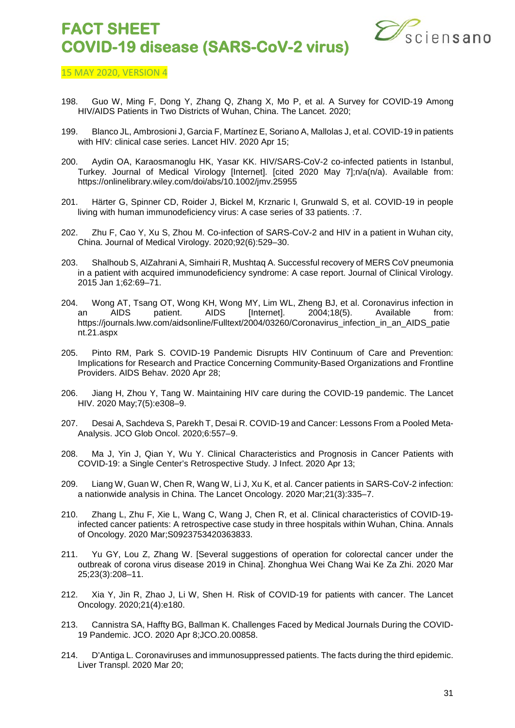

- 198. Guo W, Ming F, Dong Y, Zhang Q, Zhang X, Mo P, et al. A Survey for COVID-19 Among HIV/AIDS Patients in Two Districts of Wuhan, China. The Lancet. 2020;
- 199. Blanco JL, Ambrosioni J, Garcia F, Martínez E, Soriano A, Mallolas J, et al. COVID-19 in patients with HIV: clinical case series. Lancet HIV. 2020 Apr 15;
- 200. Aydin OA, Karaosmanoglu HK, Yasar KK. HIV/SARS-CoV-2 co-infected patients in Istanbul, Turkey. Journal of Medical Virology [Internet]. [cited 2020 May 7];n/a(n/a). Available from: https://onlinelibrary.wiley.com/doi/abs/10.1002/jmv.25955
- 201. Härter G, Spinner CD, Roider J, Bickel M, Krznaric I, Grunwald S, et al. COVID-19 in people living with human immunodeficiency virus: A case series of 33 patients. :7.
- 202. Zhu F, Cao Y, Xu S, Zhou M. Co-infection of SARS-CoV-2 and HIV in a patient in Wuhan city, China. Journal of Medical Virology. 2020;92(6):529–30.
- 203. Shalhoub S, AlZahrani A, Simhairi R, Mushtaq A. Successful recovery of MERS CoV pneumonia in a patient with acquired immunodeficiency syndrome: A case report. Journal of Clinical Virology. 2015 Jan 1;62:69–71.
- 204. Wong AT, Tsang OT, Wong KH, Wong MY, Lim WL, Zheng BJ, et al. Coronavirus infection in an AIDS patient. AIDS [Internet]. 2004;18(5). Available from: https://journals.lww.com/aidsonline/Fulltext/2004/03260/Coronavirus\_infection\_in\_an\_AIDS\_patie nt.21.aspx
- 205. Pinto RM, Park S. COVID-19 Pandemic Disrupts HIV Continuum of Care and Prevention: Implications for Research and Practice Concerning Community-Based Organizations and Frontline Providers. AIDS Behav. 2020 Apr 28;
- 206. Jiang H, Zhou Y, Tang W. Maintaining HIV care during the COVID-19 pandemic. The Lancet HIV. 2020 May;7(5):e308–9.
- 207. Desai A, Sachdeva S, Parekh T, Desai R. COVID-19 and Cancer: Lessons From a Pooled Meta-Analysis. JCO Glob Oncol. 2020;6:557–9.
- 208. Ma J, Yin J, Qian Y, Wu Y. Clinical Characteristics and Prognosis in Cancer Patients with COVID-19: a Single Center's Retrospective Study. J Infect. 2020 Apr 13;
- 209. Liang W, Guan W, Chen R, Wang W, Li J, Xu K, et al. Cancer patients in SARS-CoV-2 infection: a nationwide analysis in China. The Lancet Oncology. 2020 Mar;21(3):335–7.
- 210. Zhang L, Zhu F, Xie L, Wang C, Wang J, Chen R, et al. Clinical characteristics of COVID-19 infected cancer patients: A retrospective case study in three hospitals within Wuhan, China. Annals of Oncology. 2020 Mar;S0923753420363833.
- 211. Yu GY, Lou Z, Zhang W. [Several suggestions of operation for colorectal cancer under the outbreak of corona virus disease 2019 in China]. Zhonghua Wei Chang Wai Ke Za Zhi. 2020 Mar 25;23(3):208–11.
- 212. Xia Y, Jin R, Zhao J, Li W, Shen H. Risk of COVID-19 for patients with cancer. The Lancet Oncology. 2020;21(4):e180.
- 213. Cannistra SA, Haffty BG, Ballman K. Challenges Faced by Medical Journals During the COVID-19 Pandemic. JCO. 2020 Apr 8;JCO.20.00858.
- 214. D'Antiga L. Coronaviruses and immunosuppressed patients. The facts during the third epidemic. Liver Transpl. 2020 Mar 20;